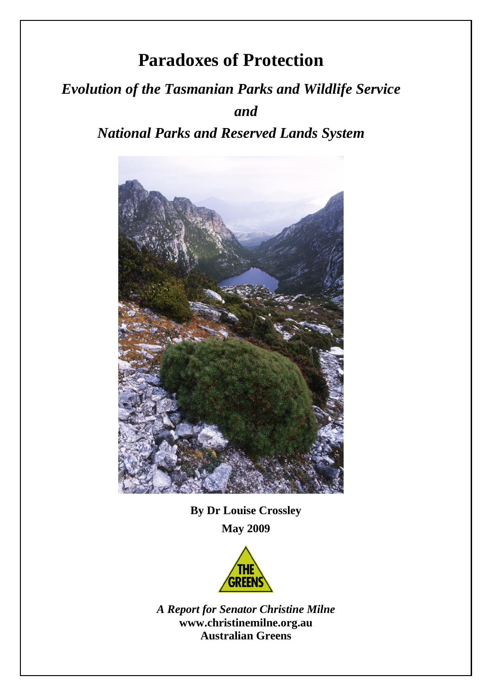# **Paradoxes of Protection**

# *Evolution of the Tasmanian Parks and Wildlife Service and*

## *National Parks and Reserved Lands System*



**By Dr Louise Crossley May 2009**



*A Report for Senator Christine Milne* **www.christinemilne.org.au Australian Greens**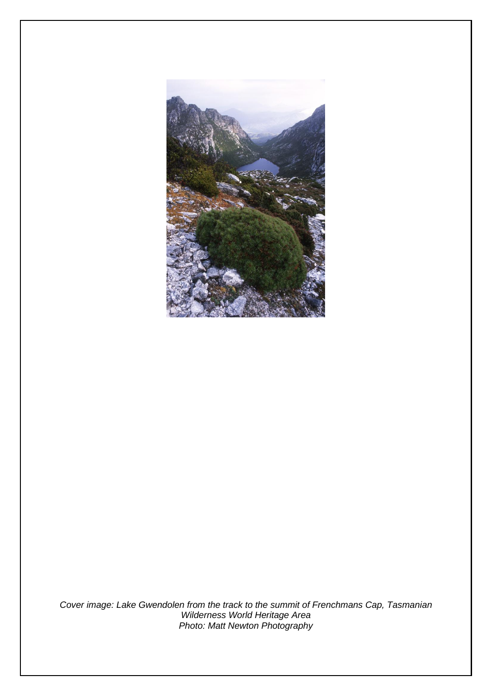

*Cover image: Lake Gwendolen from the track to the summit of Frenchmans Cap, Tasmanian Wilderness World Heritage Area Photo: Matt Newton Photography*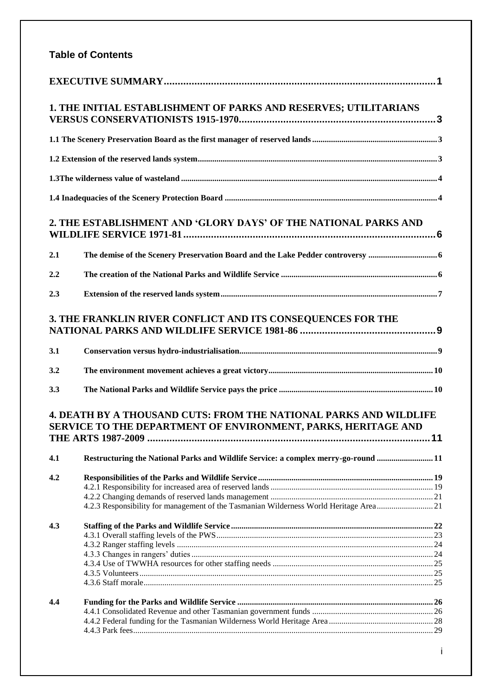## **Table of Contents**

|     | 1. THE INITIAL ESTABLISHMENT OF PARKS AND RESERVES; UTILITARIANS                                                                          |  |
|-----|-------------------------------------------------------------------------------------------------------------------------------------------|--|
|     |                                                                                                                                           |  |
|     |                                                                                                                                           |  |
|     |                                                                                                                                           |  |
|     |                                                                                                                                           |  |
|     | 2. THE ESTABLISHMENT AND 'GLORY DAYS' OF THE NATIONAL PARKS AND                                                                           |  |
| 2.1 |                                                                                                                                           |  |
| 2.2 |                                                                                                                                           |  |
| 2.3 |                                                                                                                                           |  |
|     | 3. THE FRANKLIN RIVER CONFLICT AND ITS CONSEQUENCES FOR THE                                                                               |  |
| 3.1 |                                                                                                                                           |  |
| 3.2 |                                                                                                                                           |  |
| 3.3 |                                                                                                                                           |  |
|     | <b>4. DEATH BY A THOUSAND CUTS: FROM THE NATIONAL PARKS AND WILDLIFE</b><br>SERVICE TO THE DEPARTMENT OF ENVIRONMENT, PARKS, HERITAGE AND |  |
| 4.1 | Restructuring the National Parks and Wildlife Service: a complex merry-go-round  11                                                       |  |
| 4.2 | 4.2.3 Responsibility for management of the Tasmanian Wilderness World Heritage Area21                                                     |  |
| 4.3 |                                                                                                                                           |  |
| 4.4 |                                                                                                                                           |  |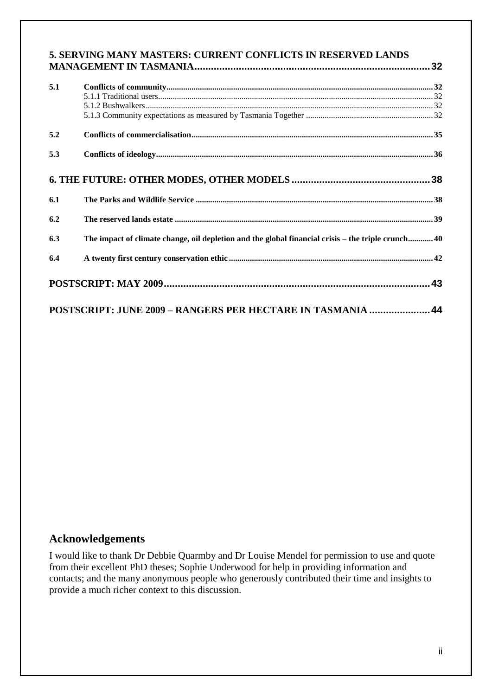| 5. SERVING MANY MASTERS: CURRENT CONFLICTS IN RESERVED LANDS |  |
|--------------------------------------------------------------|--|
|                                                              |  |

| 5.1 |                                                                                                   |  |
|-----|---------------------------------------------------------------------------------------------------|--|
| 5.2 |                                                                                                   |  |
| 5.3 |                                                                                                   |  |
|     |                                                                                                   |  |
| 6.1 |                                                                                                   |  |
| 6.2 |                                                                                                   |  |
| 6.3 | The impact of climate change, oil depletion and the global financial crisis – the triple crunch40 |  |
| 6.4 |                                                                                                   |  |
|     |                                                                                                   |  |
|     | POSTSCRIPT: JUNE 2009 - RANGERS PER HECTARE IN TASMANIA  44                                       |  |

#### **Acknowledgements**

I would like to thank Dr Debbie Quarmby and Dr Louise Mendel for permission to use and quote from their excellent PhD theses; Sophie Underwood for help in providing information and contacts; and the many anonymous people who generously contributed their time and insights to provide a much richer context to this discussion.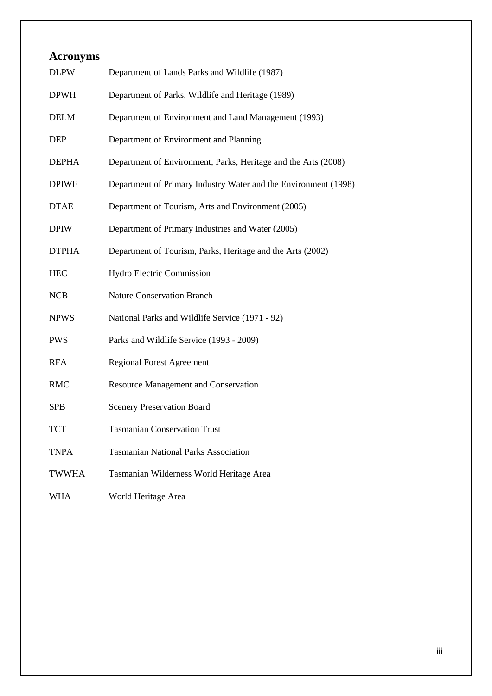| <b>Acronyms</b> |                                                                 |
|-----------------|-----------------------------------------------------------------|
| <b>DLPW</b>     | Department of Lands Parks and Wildlife (1987)                   |
| <b>DPWH</b>     | Department of Parks, Wildlife and Heritage (1989)               |
| <b>DELM</b>     | Department of Environment and Land Management (1993)            |
| <b>DEP</b>      | Department of Environment and Planning                          |
| <b>DEPHA</b>    | Department of Environment, Parks, Heritage and the Arts (2008)  |
| <b>DPIWE</b>    | Department of Primary Industry Water and the Environment (1998) |
| <b>DTAE</b>     | Department of Tourism, Arts and Environment (2005)              |
| <b>DPIW</b>     | Department of Primary Industries and Water (2005)               |
| <b>DTPHA</b>    | Department of Tourism, Parks, Heritage and the Arts (2002)      |
| <b>HEC</b>      | Hydro Electric Commission                                       |
| <b>NCB</b>      | <b>Nature Conservation Branch</b>                               |
| <b>NPWS</b>     | National Parks and Wildlife Service (1971 - 92)                 |
| <b>PWS</b>      | Parks and Wildlife Service (1993 - 2009)                        |
| <b>RFA</b>      | <b>Regional Forest Agreement</b>                                |
| <b>RMC</b>      | <b>Resource Management and Conservation</b>                     |
| <b>SPB</b>      | <b>Scenery Preservation Board</b>                               |
| <b>TCT</b>      | <b>Tasmanian Conservation Trust</b>                             |
| <b>TNPA</b>     | <b>Tasmanian National Parks Association</b>                     |
| <b>TWWHA</b>    | Tasmanian Wilderness World Heritage Area                        |
| <b>WHA</b>      | World Heritage Area                                             |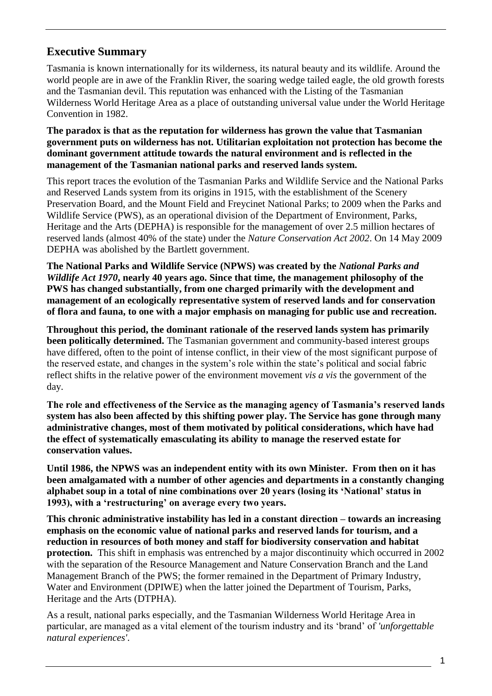## <span id="page-5-0"></span>**Executive Summary**

Tasmania is known internationally for its wilderness, its natural beauty and its wildlife. Around the world people are in awe of the Franklin River, the soaring wedge tailed eagle, the old growth forests and the Tasmanian devil. This reputation was enhanced with the Listing of the Tasmanian Wilderness World Heritage Area as a place of outstanding universal value under the World Heritage Convention in 1982.

**The paradox is that as the reputation for wilderness has grown the value that Tasmanian government puts on wilderness has not. Utilitarian exploitation not protection has become the dominant government attitude towards the natural environment and is reflected in the management of the Tasmanian national parks and reserved lands system.**

This report traces the evolution of the Tasmanian Parks and Wildlife Service and the National Parks and Reserved Lands system from its origins in 1915, with the establishment of the Scenery Preservation Board, and the Mount Field and Freycinet National Parks; to 2009 when the Parks and Wildlife Service (PWS), as an operational division of the Department of Environment, Parks, Heritage and the Arts (DEPHA) is responsible for the management of over 2.5 million hectares of reserved lands (almost 40% of the state) under the *Nature Conservation Act 2002*. On 14 May 2009 DEPHA was abolished by the Bartlett government.

**The National Parks and Wildlife Service (NPWS) was created by the** *National Parks and Wildlife Act 1970***, nearly 40 years ago. Since that time, the management philosophy of the PWS has changed substantially, from one charged primarily with the development and management of an ecologically representative system of reserved lands and for conservation of flora and fauna, to one with a major emphasis on managing for public use and recreation.** 

**Throughout this period, the dominant rationale of the reserved lands system has primarily been politically determined.** The Tasmanian government and community-based interest groups have differed, often to the point of intense conflict, in their view of the most significant purpose of the reserved estate, and changes in the system's role within the state's political and social fabric reflect shifts in the relative power of the environment movement *vis a vis* the government of the day.

**The role and effectiveness of the Service as the managing agency of Tasmania's reserved lands system has also been affected by this shifting power play. The Service has gone through many administrative changes, most of them motivated by political considerations, which have had the effect of systematically emasculating its ability to manage the reserved estate for conservation values.**

**Until 1986, the NPWS was an independent entity with its own Minister. From then on it has been amalgamated with a number of other agencies and departments in a constantly changing alphabet soup in a total of nine combinations over 20 years (losing its 'National' status in 1993), with a 'restructuring' on average every two years.** 

**This chronic administrative instability has led in a constant direction – towards an increasing emphasis on the economic value of national parks and reserved lands for tourism, and a reduction in resources of both money and staff for biodiversity conservation and habitat protection.** This shift in emphasis was entrenched by a major discontinuity which occurred in 2002 with the separation of the Resource Management and Nature Conservation Branch and the Land Management Branch of the PWS; the former remained in the Department of Primary Industry, Water and Environment (DPIWE) when the latter joined the Department of Tourism, Parks, Heritage and the Arts (DTPHA).

As a result, national parks especially, and the Tasmanian Wilderness World Heritage Area in particular, are managed as a vital element of the tourism industry and its ‗brand' of *'unforgettable natural experiences'*.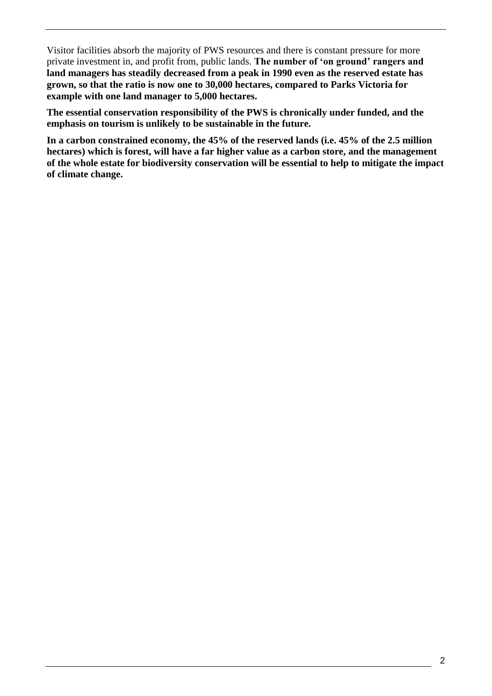Visitor facilities absorb the majority of PWS resources and there is constant pressure for more private investment in, and profit from, public lands. **The number of 'on ground' rangers and land managers has steadily decreased from a peak in 1990 even as the reserved estate has grown, so that the ratio is now one to 30,000 hectares, compared to Parks Victoria for example with one land manager to 5,000 hectares.** 

**The essential conservation responsibility of the PWS is chronically under funded, and the emphasis on tourism is unlikely to be sustainable in the future.**

**In a carbon constrained economy, the 45% of the reserved lands (i.e. 45% of the 2.5 million hectares) which is forest, will have a far higher value as a carbon store, and the management of the whole estate for biodiversity conservation will be essential to help to mitigate the impact of climate change.**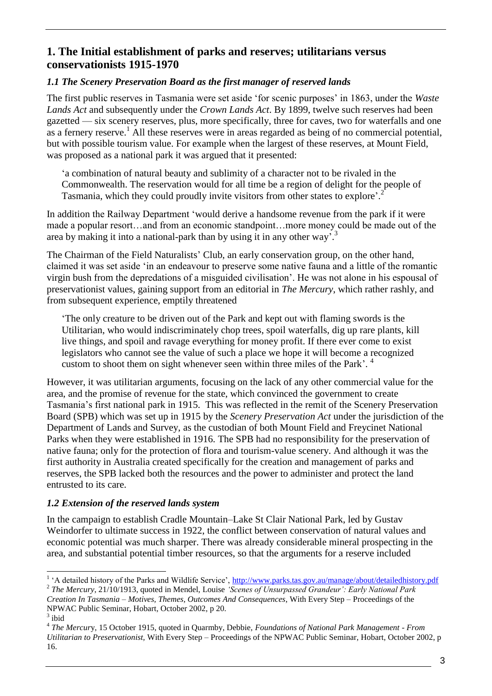## <span id="page-7-0"></span>**1. The Initial establishment of parks and reserves; utilitarians versus conservationists 1915-1970**

#### <span id="page-7-1"></span>*1.1 The Scenery Preservation Board as the first manager of reserved lands*

The first public reserves in Tasmania were set aside 'for scenic purposes' in 1863, under the *Waste Lands Act* and subsequently under the *Crown Lands Act*. By 1899, twelve such reserves had been gazetted — six scenery reserves, plus, more specifically, three for caves, two for waterfalls and one as a fernery reserve.<sup>1</sup> All these reserves were in areas regarded as being of no commercial potential, but with possible tourism value. For example when the largest of these reserves, at Mount Field, was proposed as a national park it was argued that it presented:

‗a combination of natural beauty and sublimity of a character not to be rivaled in the Commonwealth. The reservation would for all time be a region of delight for the people of Tasmania, which they could proudly invite visitors from other states to explore'.<sup>2</sup>

In addition the Railway Department 'would derive a handsome revenue from the park if it were made a popular resort…and from an economic standpoint…more money could be made out of the area by making it into a national-park than by using it in any other way.<sup>3</sup>

The Chairman of the Field Naturalists' Club, an early conservation group, on the other hand, claimed it was set aside 'in an endeavour to preserve some native fauna and a little of the romantic virgin bush from the depredations of a misguided civilisation'. He was not alone in his espousal of preservationist values, gaining support from an editorial in *The Mercury*, which rather rashly, and from subsequent experience, emptily threatened

‗The only creature to be driven out of the Park and kept out with flaming swords is the Utilitarian, who would indiscriminately chop trees, spoil waterfalls, dig up rare plants, kill live things, and spoil and ravage everything for money profit. If there ever come to exist legislators who cannot see the value of such a place we hope it will become a recognized custom to shoot them on sight whenever seen within three miles of the Park'.<sup>4</sup>

However, it was utilitarian arguments, focusing on the lack of any other commercial value for the area, and the promise of revenue for the state, which convinced the government to create Tasmania's first national park in 1915. This was reflected in the remit of the Scenery Preservation Board (SPB) which was set up in 1915 by the *Scenery Preservation Act* under the jurisdiction of the Department of Lands and Survey, as the custodian of both Mount Field and Freycinet National Parks when they were established in 1916. The SPB had no responsibility for the preservation of native fauna; only for the protection of flora and tourism-value scenery. And although it was the first authority in Australia created specifically for the creation and management of parks and reserves, the SPB lacked both the resources and the power to administer and protect the land entrusted to its care.

## <span id="page-7-2"></span>*1.2 Extension of the reserved lands system*

In the campaign to establish Cradle Mountain–Lake St Clair National Park, led by Gustav Weindorfer to ultimate success in 1922, the conflict between conservation of natural values and economic potential was much sharper. There was already considerable mineral prospecting in the area, and substantial potential timber resources, so that the arguments for a reserve included

<sup>&</sup>lt;sup>1</sup> 'A detailed history of the Parks and Wildlife Service', <u>http://www.parks.tas.gov.au/manage/about/detailedhistory.pdf</u>

<sup>2</sup> *The Mercury*, 21/10/1913, quoted in Mendel, Louise *'Scenes of Unsurpassed Grandeur': Early National Park Creation In Tasmania – Motives, Themes, Outcomes And Consequences*, With Every Step – Proceedings of the

NPWAC Public Seminar, Hobart, October 2002, p 20.  $3$  ibid

<sup>4</sup> *The Mercur*y, 15 October 1915, quoted in Quarmby, Debbie, *Foundations of National Park Management - From Utilitarian to Preservationist,* With Every Step – Proceedings of the NPWAC Public Seminar, Hobart, October 2002, p 16.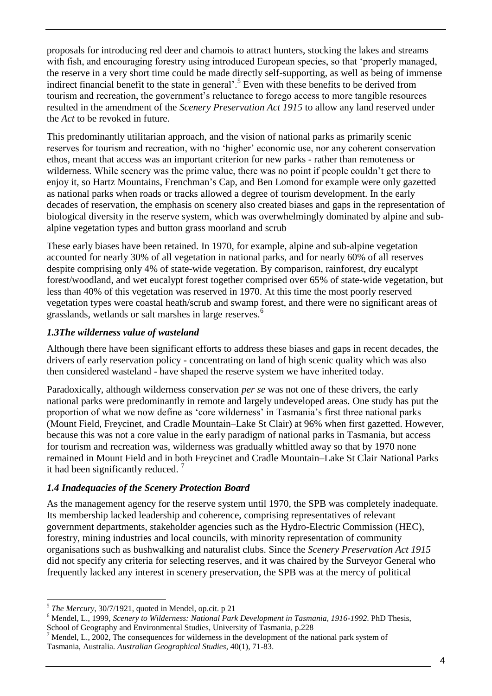proposals for introducing red deer and chamois to attract hunters, stocking the lakes and streams with fish, and encouraging forestry using introduced European species, so that 'properly managed, the reserve in a very short time could be made directly self-supporting, as well as being of immense indirect financial benefit to the state in general'.<sup>5</sup> Even with these benefits to be derived from tourism and recreation, the government's reluctance to forego access to more tangible resources resulted in the amendment of the *Scenery Preservation Act 1915* to allow any land reserved under the *Act* to be revoked in future.

This predominantly utilitarian approach, and the vision of national parks as primarily scenic reserves for tourism and recreation, with no 'higher' economic use, nor any coherent conservation ethos, meant that access was an important criterion for new parks - rather than remoteness or wilderness. While scenery was the prime value, there was no point if people couldn't get there to enjoy it, so Hartz Mountains, Frenchman's Cap, and Ben Lomond for example were only gazetted as national parks when roads or tracks allowed a degree of tourism development. In the early decades of reservation, the emphasis on scenery also created biases and gaps in the representation of biological diversity in the reserve system, which was overwhelmingly dominated by alpine and subalpine vegetation types and button grass moorland and scrub

These early biases have been retained. In 1970, for example, alpine and sub-alpine vegetation accounted for nearly 30% of all vegetation in national parks, and for nearly 60% of all reserves despite comprising only 4% of state-wide vegetation. By comparison, rainforest, dry eucalypt forest/woodland, and wet eucalypt forest together comprised over 65% of state-wide vegetation, but less than 40% of this vegetation was reserved in 1970. At this time the most poorly reserved vegetation types were coastal heath/scrub and swamp forest, and there were no significant areas of grasslands, wetlands or salt marshes in large reserves.<sup>6</sup>

#### <span id="page-8-0"></span>*1.3The wilderness value of wasteland*

Although there have been significant efforts to address these biases and gaps in recent decades, the drivers of early reservation policy - concentrating on land of high scenic quality which was also then considered wasteland - have shaped the reserve system we have inherited today.

Paradoxically, although wilderness conservation *per se* was not one of these drivers, the early national parks were predominantly in remote and largely undeveloped areas. One study has put the proportion of what we now define as ‗core wilderness' in Tasmania's first three national parks (Mount Field, Freycinet, and Cradle Mountain–Lake St Clair) at 96% when first gazetted. However, because this was not a core value in the early paradigm of national parks in Tasmania, but access for tourism and recreation was, wilderness was gradually whittled away so that by 1970 none remained in Mount Field and in both Freycinet and Cradle Mountain–Lake St Clair National Parks it had been significantly reduced. <sup>7</sup>

## <span id="page-8-1"></span>*1.4 Inadequacies of the Scenery Protection Board*

As the management agency for the reserve system until 1970, the SPB was completely inadequate. Its membership lacked leadership and coherence, comprising representatives of relevant government departments, stakeholder agencies such as the Hydro-Electric Commission (HEC), forestry, mining industries and local councils, with minority representation of community organisations such as bushwalking and naturalist clubs. Since the *Scenery Preservation Act 1915* did not specify any criteria for selecting reserves, and it was chaired by the Surveyor General who frequently lacked any interest in scenery preservation, the SPB was at the mercy of political

<sup>5</sup> *The Mercury*, 30/7/1921, quoted in Mendel, op.cit. p 21

<sup>6</sup> Mendel, L., 1999, *Scenery to Wilderness: National Park Development in Tasmania, 1916-1992*. PhD Thesis, School of Geography and Environmental Studies, University of Tasmania, p.228

<sup>7</sup> Mendel, L., 2002, The consequences for wilderness in the development of the national park system of Tasmania, Australia. *Australian Geographical Studies*, 40(1), 71-83.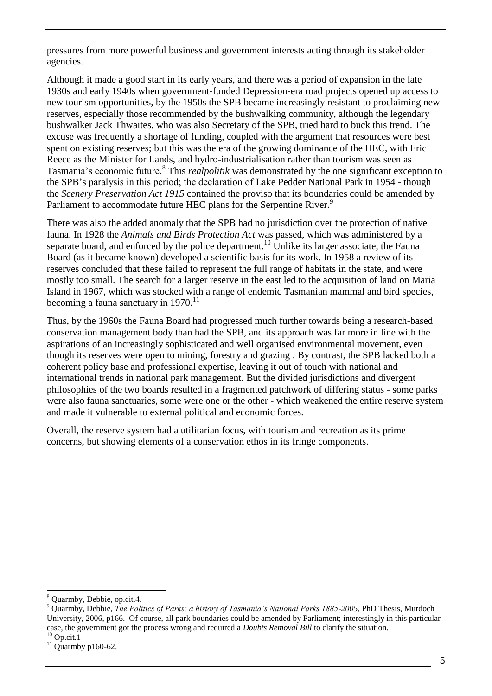pressures from more powerful business and government interests acting through its stakeholder agencies.

Although it made a good start in its early years, and there was a period of expansion in the late 1930s and early 1940s when government-funded Depression-era road projects opened up access to new tourism opportunities, by the 1950s the SPB became increasingly resistant to proclaiming new reserves, especially those recommended by the bushwalking community, although the legendary bushwalker Jack Thwaites, who was also Secretary of the SPB, tried hard to buck this trend. The excuse was frequently a shortage of funding, coupled with the argument that resources were best spent on existing reserves; but this was the era of the growing dominance of the HEC, with Eric Reece as the Minister for Lands, and hydro-industrialisation rather than tourism was seen as Tasmania's economic future.<sup>8</sup> This *realpolitik* was demonstrated by the one significant exception to the SPB's paralysis in this period; the declaration of Lake Pedder National Park in 1954 - though the *Scenery Preservation Act 1915* contained the proviso that its boundaries could be amended by Parliament to accommodate future HEC plans for the Serpentine River.<sup>9</sup>

There was also the added anomaly that the SPB had no jurisdiction over the protection of native fauna. In 1928 the *Animals and Birds Protection Act* was passed, which was administered by a separate board, and enforced by the police department.<sup>10</sup> Unlike its larger associate, the Fauna Board (as it became known) developed a scientific basis for its work. In 1958 a review of its reserves concluded that these failed to represent the full range of habitats in the state, and were mostly too small. The search for a larger reserve in the east led to the acquisition of land on Maria Island in 1967, which was stocked with a range of endemic Tasmanian mammal and bird species, becoming a fauna sanctuary in  $1970$ .<sup>11</sup>

Thus, by the 1960s the Fauna Board had progressed much further towards being a research-based conservation management body than had the SPB, and its approach was far more in line with the aspirations of an increasingly sophisticated and well organised environmental movement, even though its reserves were open to mining, forestry and grazing . By contrast, the SPB lacked both a coherent policy base and professional expertise, leaving it out of touch with national and international trends in national park management. But the divided jurisdictions and divergent philosophies of the two boards resulted in a fragmented patchwork of differing status - some parks were also fauna sanctuaries, some were one or the other - which weakened the entire reserve system and made it vulnerable to external political and economic forces.

Overall, the reserve system had a utilitarian focus, with tourism and recreation as its prime concerns, but showing elements of a conservation ethos in its fringe components.

<sup>-</sup><sup>8</sup> Quarmby, Debbie, op.cit.4.

<sup>9</sup> Quarmby, Debbie, *The Politics of Parks; a history of Tasmania's National Parks 1885-2005*, PhD Thesis, Murdoch University, 2006, p166. Of course, all park boundaries could be amended by Parliament; interestingly in this particular case, the government got the process wrong and required a *Doubts Removal Bill* to clarify the situation.  $10$  Op.cit.1

 $11$  Quarmby p160-62.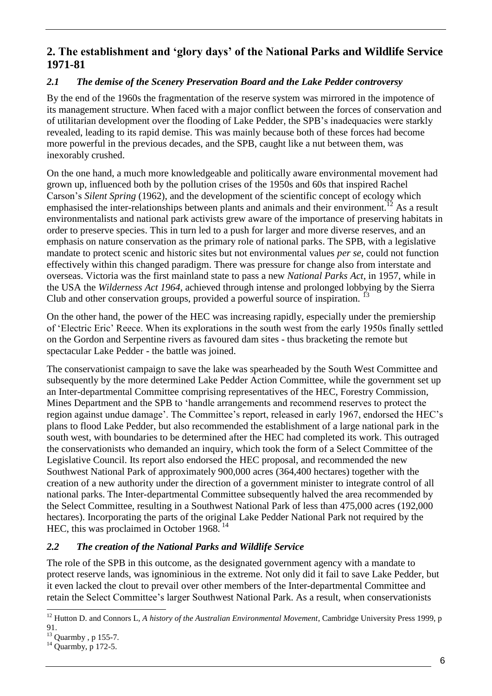## <span id="page-10-0"></span>**2. The establishment and 'glory days' of the National Parks and Wildlife Service 1971-81**

#### <span id="page-10-1"></span>*2.1 The demise of the Scenery Preservation Board and the Lake Pedder controversy*

By the end of the 1960s the fragmentation of the reserve system was mirrored in the impotence of its management structure. When faced with a major conflict between the forces of conservation and of utilitarian development over the flooding of Lake Pedder, the SPB's inadequacies were starkly revealed, leading to its rapid demise. This was mainly because both of these forces had become more powerful in the previous decades, and the SPB, caught like a nut between them, was inexorably crushed.

On the one hand, a much more knowledgeable and politically aware environmental movement had grown up, influenced both by the pollution crises of the 1950s and 60s that inspired Rachel Carson's *Silent Spring* (1962), and the development of the scientific concept of ecology which emphasised the inter-relationships between plants and animals and their environment.<sup>12</sup> As a result environmentalists and national park activists grew aware of the importance of preserving habitats in order to preserve species. This in turn led to a push for larger and more diverse reserves, and an emphasis on nature conservation as the primary role of national parks. The SPB, with a legislative mandate to protect scenic and historic sites but not environmental values *per se*, could not function effectively within this changed paradigm. There was pressure for change also from interstate and overseas. Victoria was the first mainland state to pass a new *National Parks Act*, in 1957, while in the USA the *Wilderness Act 1964*, achieved through intense and prolonged lobbying by the Sierra Club and other conservation groups, provided a powerful source of inspiration.<sup>13</sup>

On the other hand, the power of the HEC was increasing rapidly, especially under the premiership of ‗Electric Eric' Reece. When its explorations in the south west from the early 1950s finally settled on the Gordon and Serpentine rivers as favoured dam sites - thus bracketing the remote but spectacular Lake Pedder - the battle was joined.

The conservationist campaign to save the lake was spearheaded by the South West Committee and subsequently by the more determined Lake Pedder Action Committee, while the government set up an Inter-departmental Committee comprising representatives of the HEC, Forestry Commission, Mines Department and the SPB to 'handle arrangements and recommend reserves to protect the region against undue damage'. The Committee's report, released in early 1967, endorsed the HEC's plans to flood Lake Pedder, but also recommended the establishment of a large national park in the south west, with boundaries to be determined after the HEC had completed its work. This outraged the conservationists who demanded an inquiry, which took the form of a Select Committee of the Legislative Council. Its report also endorsed the HEC proposal, and recommended the new Southwest National Park of approximately 900,000 acres (364,400 hectares) together with the creation of a new authority under the direction of a government minister to integrate control of all national parks. The Inter-departmental Committee subsequently halved the area recommended by the Select Committee, resulting in a Southwest National Park of less than 475,000 acres (192,000 hectares). Incorporating the parts of the original Lake Pedder National Park not required by the HEC, this was proclaimed in October 1968. <sup>14</sup>

#### <span id="page-10-2"></span>*2.2 The creation of the National Parks and Wildlife Service*

The role of the SPB in this outcome, as the designated government agency with a mandate to protect reserve lands, was ignominious in the extreme. Not only did it fail to save Lake Pedder, but it even lacked the clout to prevail over other members of the Inter-departmental Committee and retain the Select Committee's larger Southwest National Park. As a result, when conservationists

<sup>-</sup><sup>12</sup> Hutton D. and Connors L, *A history of the Australian Environmental Movement*, Cambridge University Press 1999, p 91.

<sup>13</sup> Quarmby , p 155-7.

<sup>&</sup>lt;sup>14</sup> Quarmby, p 172-5.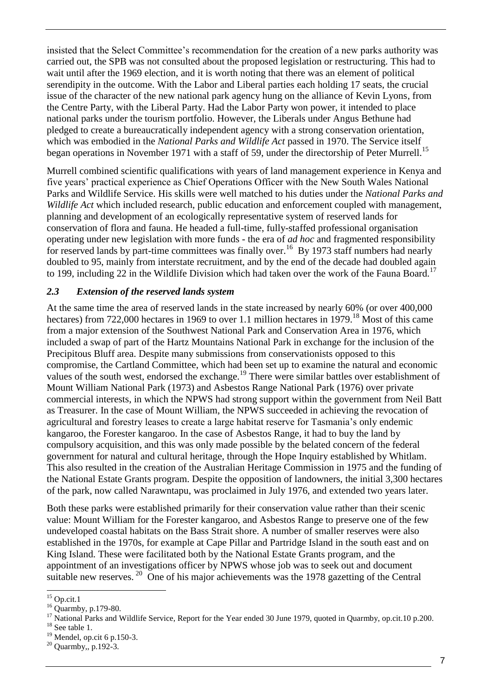insisted that the Select Committee's recommendation for the creation of a new parks authority was carried out, the SPB was not consulted about the proposed legislation or restructuring. This had to wait until after the 1969 election, and it is worth noting that there was an element of political serendipity in the outcome. With the Labor and Liberal parties each holding 17 seats, the crucial issue of the character of the new national park agency hung on the alliance of Kevin Lyons, from the Centre Party, with the Liberal Party. Had the Labor Party won power, it intended to place national parks under the tourism portfolio. However, the Liberals under Angus Bethune had pledged to create a bureaucratically independent agency with a strong conservation orientation, which was embodied in the *National Parks and Wildlife Act* passed in 1970. The Service itself began operations in November 1971 with a staff of 59, under the directorship of Peter Murrell.<sup>15</sup>

Murrell combined scientific qualifications with years of land management experience in Kenya and five years' practical experience as Chief Operations Officer with the New South Wales National Parks and Wildlife Service. His skills were well matched to his duties under the *National Parks and Wildlife Act* which included research, public education and enforcement coupled with management, planning and development of an ecologically representative system of reserved lands for conservation of flora and fauna. He headed a full-time, fully-staffed professional organisation operating under new legislation with more funds - the era of *ad hoc* and fragmented responsibility for reserved lands by part-time committees was finally over.<sup>16</sup> By 1973 staff numbers had nearly doubled to 95, mainly from interstate recruitment, and by the end of the decade had doubled again to 199, including 22 in the Wildlife Division which had taken over the work of the Fauna Board.<sup>17</sup>

#### <span id="page-11-0"></span>*2.3 Extension of the reserved lands system*

At the same time the area of reserved lands in the state increased by nearly 60% (or over 400,000 hectares) from 722,000 hectares in 1969 to over 1.1 million hectares in 1979.<sup>18</sup> Most of this came from a major extension of the Southwest National Park and Conservation Area in 1976, which included a swap of part of the Hartz Mountains National Park in exchange for the inclusion of the Precipitous Bluff area. Despite many submissions from conservationists opposed to this compromise, the Cartland Committee, which had been set up to examine the natural and economic values of the south west, endorsed the exchange.<sup>19</sup> There were similar battles over establishment of Mount William National Park (1973) and Asbestos Range National Park (1976) over private commercial interests, in which the NPWS had strong support within the government from Neil Batt as Treasurer. In the case of Mount William, the NPWS succeeded in achieving the revocation of agricultural and forestry leases to create a large habitat reserve for Tasmania's only endemic kangaroo, the Forester kangaroo. In the case of Asbestos Range, it had to buy the land by compulsory acquisition, and this was only made possible by the belated concern of the federal government for natural and cultural heritage, through the Hope Inquiry established by Whitlam. This also resulted in the creation of the Australian Heritage Commission in 1975 and the funding of the National Estate Grants program. Despite the opposition of landowners, the initial 3,300 hectares of the park, now called Narawntapu, was proclaimed in July 1976, and extended two years later.

Both these parks were established primarily for their conservation value rather than their scenic value: Mount William for the Forester kangaroo, and Asbestos Range to preserve one of the few undeveloped coastal habitats on the Bass Strait shore. A number of smaller reserves were also established in the 1970s, for example at Cape Pillar and Partridge Island in the south east and on King Island. These were facilitated both by the National Estate Grants program, and the appointment of an investigations officer by NPWS whose job was to seek out and document suitable new reserves.<sup>20</sup> One of his major achievements was the 1978 gazetting of the Central

 $15$  Op.cit.1

<sup>16</sup> Quarmby, p.179-80.

<sup>&</sup>lt;sup>17</sup> National Parks and Wildlife Service, Report for the Year ended 30 June 1979, quoted in Quarmby, op.cit.10 p.200.

 $18$  See table 1.

<sup>19</sup> Mendel, op.cit 6 p.150-3.

<sup>20</sup> Quarmby,, p.192-3.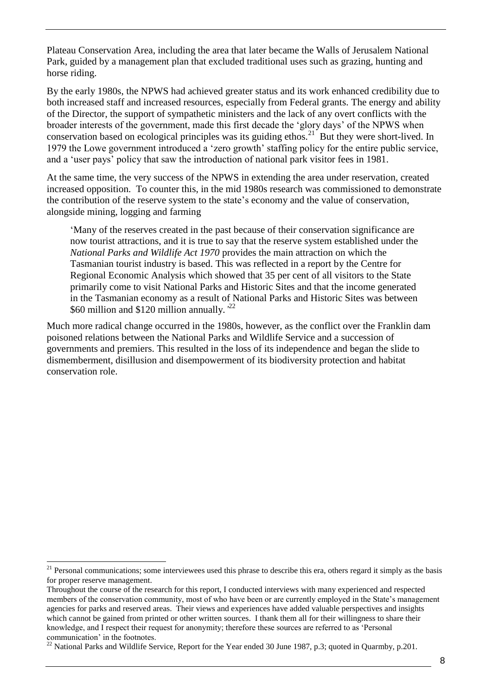Plateau Conservation Area, including the area that later became the Walls of Jerusalem National Park, guided by a management plan that excluded traditional uses such as grazing, hunting and horse riding.

By the early 1980s, the NPWS had achieved greater status and its work enhanced credibility due to both increased staff and increased resources, especially from Federal grants. The energy and ability of the Director, the support of sympathetic ministers and the lack of any overt conflicts with the broader interests of the government, made this first decade the ‗glory days' of the NPWS when conservation based on ecological principles was its guiding ethos.<sup>21</sup> But they were short-lived. In 1979 the Lowe government introduced a 'zero growth' staffing policy for the entire public service, and a 'user pays' policy that saw the introduction of national park visitor fees in 1981.

At the same time, the very success of the NPWS in extending the area under reservation, created increased opposition. To counter this, in the mid 1980s research was commissioned to demonstrate the contribution of the reserve system to the state's economy and the value of conservation, alongside mining, logging and farming

‗Many of the reserves created in the past because of their conservation significance are now tourist attractions, and it is true to say that the reserve system established under the *National Parks and Wildlife Act 1970* provides the main attraction on which the Tasmanian tourist industry is based. This was reflected in a report by the Centre for Regional Economic Analysis which showed that 35 per cent of all visitors to the State primarily come to visit National Parks and Historic Sites and that the income generated in the Tasmanian economy as a result of National Parks and Historic Sites was between \$60 million and \$120 million annually*.'* 22

Much more radical change occurred in the 1980s, however, as the conflict over the Franklin dam poisoned relations between the National Parks and Wildlife Service and a succession of governments and premiers. This resulted in the loss of its independence and began the slide to dismemberment, disillusion and disempowerment of its biodiversity protection and habitat conservation role.

 $21$  Personal communications; some interviewees used this phrase to describe this era, others regard it simply as the basis for proper reserve management.

Throughout the course of the research for this report, I conducted interviews with many experienced and respected members of the conservation community, most of who have been or are currently employed in the State's management agencies for parks and reserved areas. Their views and experiences have added valuable perspectives and insights which cannot be gained from printed or other written sources. I thank them all for their willingness to share their knowledge, and I respect their request for anonymity; therefore these sources are referred to as 'Personal communication' in the footnotes.

<sup>&</sup>lt;sup>22</sup> National Parks and Wildlife Service, Report for the Year ended 30 June 1987, p.3; quoted in Quarmby, p.201.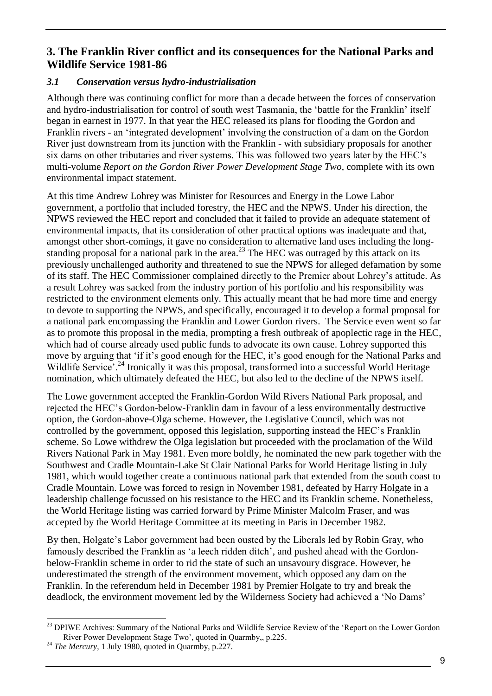## <span id="page-13-0"></span>**3. The Franklin River conflict and its consequences for the National Parks and Wildlife Service 1981-86**

#### <span id="page-13-1"></span>*3.1 Conservation versus hydro-industrialisation*

Although there was continuing conflict for more than a decade between the forces of conservation and hydro-industrialisation for control of south west Tasmania, the 'battle for the Franklin' itself began in earnest in 1977. In that year the HEC released its plans for flooding the Gordon and Franklin rivers - an ‗integrated development' involving the construction of a dam on the Gordon River just downstream from its junction with the Franklin - with subsidiary proposals for another six dams on other tributaries and river systems. This was followed two years later by the HEC's multi-volume *Report on the Gordon River Power Development Stage Two*, complete with its own environmental impact statement.

At this time Andrew Lohrey was Minister for Resources and Energy in the Lowe Labor government, a portfolio that included forestry, the HEC and the NPWS. Under his direction, the NPWS reviewed the HEC report and concluded that it failed to provide an adequate statement of environmental impacts, that its consideration of other practical options was inadequate and that, amongst other short-comings, it gave no consideration to alternative land uses including the longstanding proposal for a national park in the area.<sup>23</sup> The HEC was outraged by this attack on its previously unchallenged authority and threatened to sue the NPWS for alleged defamation by some of its staff. The HEC Commissioner complained directly to the Premier about Lohrey's attitude. As a result Lohrey was sacked from the industry portion of his portfolio and his responsibility was restricted to the environment elements only. This actually meant that he had more time and energy to devote to supporting the NPWS, and specifically, encouraged it to develop a formal proposal for a national park encompassing the Franklin and Lower Gordon rivers. The Service even went so far as to promote this proposal in the media, prompting a fresh outbreak of apoplectic rage in the HEC, which had of course already used public funds to advocate its own cause. Lohrey supported this move by arguing that ‗if it's good enough for the HEC, it's good enough for the National Parks and Wildlife Service<sup>'.24</sup> Ironically it was this proposal, transformed into a successful World Heritage nomination, which ultimately defeated the HEC, but also led to the decline of the NPWS itself.

The Lowe government accepted the Franklin-Gordon Wild Rivers National Park proposal, and rejected the HEC's Gordon-below-Franklin dam in favour of a less environmentally destructive option, the Gordon-above-Olga scheme. However, the Legislative Council, which was not controlled by the government, opposed this legislation, supporting instead the HEC's Franklin scheme. So Lowe withdrew the Olga legislation but proceeded with the proclamation of the Wild Rivers National Park in May 1981. Even more boldly, he nominated the new park together with the Southwest and Cradle Mountain-Lake St Clair National Parks for World Heritage listing in July 1981, which would together create a continuous national park that extended from the south coast to Cradle Mountain. Lowe was forced to resign in November 1981, defeated by Harry Holgate in a leadership challenge focussed on his resistance to the HEC and its Franklin scheme. Nonetheless, the World Heritage listing was carried forward by Prime Minister Malcolm Fraser, and was accepted by the World Heritage Committee at its meeting in Paris in December 1982.

By then, Holgate's Labor government had been ousted by the Liberals led by Robin Gray, who famously described the Franklin as 'a leech ridden ditch', and pushed ahead with the Gordonbelow-Franklin scheme in order to rid the state of such an unsavoury disgrace. However, he underestimated the strength of the environment movement, which opposed any dam on the Franklin. In the referendum held in December 1981 by Premier Holgate to try and break the deadlock, the environment movement led by the Wilderness Society had achieved a 'No Dams'

<sup>-</sup><sup>23</sup> DPIWE Archives: Summary of the National Parks and Wildlife Service Review of the 'Report on the Lower Gordon River Power Development Stage Two', quoted in Quarmby,, p.225.

<sup>&</sup>lt;sup>24</sup> *The Mercury*, 1 July 1980, quoted in Quarmby, p.227.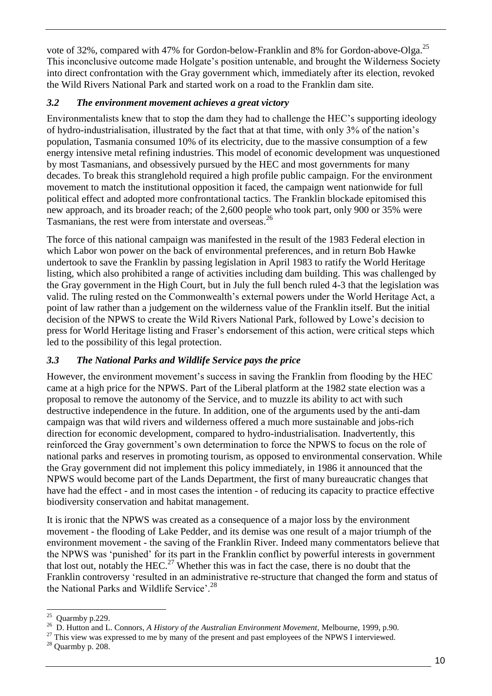vote of 32%, compared with 47% for Gordon-below-Franklin and 8% for Gordon-above-Olga.<sup>25</sup> This inconclusive outcome made Holgate's position untenable, and brought the Wilderness Society into direct confrontation with the Gray government which, immediately after its election, revoked the Wild Rivers National Park and started work on a road to the Franklin dam site.

#### <span id="page-14-0"></span>*3.2 The environment movement achieves a great victory*

Environmentalists knew that to stop the dam they had to challenge the HEC's supporting ideology of hydro-industrialisation, illustrated by the fact that at that time, with only 3% of the nation's population, Tasmania consumed 10% of its electricity, due to the massive consumption of a few energy intensive metal refining industries. This model of economic development was unquestioned by most Tasmanians, and obsessively pursued by the HEC and most governments for many decades. To break this stranglehold required a high profile public campaign. For the environment movement to match the institutional opposition it faced, the campaign went nationwide for full political effect and adopted more confrontational tactics. The Franklin blockade epitomised this new approach, and its broader reach; of the 2,600 people who took part, only 900 or 35% were Tasmanians, the rest were from interstate and overseas.<sup>26</sup>

The force of this national campaign was manifested in the result of the 1983 Federal election in which Labor won power on the back of environmental preferences, and in return Bob Hawke undertook to save the Franklin by passing legislation in April 1983 to ratify the World Heritage listing, which also prohibited a range of activities including dam building. This was challenged by the Gray government in the High Court, but in July the full bench ruled 4-3 that the legislation was valid. The ruling rested on the Commonwealth's external powers under the World Heritage Act, a point of law rather than a judgement on the wilderness value of the Franklin itself. But the initial decision of the NPWS to create the Wild Rivers National Park, followed by Lowe's decision to press for World Heritage listing and Fraser's endorsement of this action, were critical steps which led to the possibility of this legal protection.

## <span id="page-14-1"></span>*3.3 The National Parks and Wildlife Service pays the price*

However, the environment movement's success in saving the Franklin from flooding by the HEC came at a high price for the NPWS. Part of the Liberal platform at the 1982 state election was a proposal to remove the autonomy of the Service, and to muzzle its ability to act with such destructive independence in the future. In addition, one of the arguments used by the anti-dam campaign was that wild rivers and wilderness offered a much more sustainable and jobs-rich direction for economic development, compared to hydro-industrialisation. Inadvertently, this reinforced the Gray government's own determination to force the NPWS to focus on the role of national parks and reserves in promoting tourism, as opposed to environmental conservation. While the Gray government did not implement this policy immediately, in 1986 it announced that the NPWS would become part of the Lands Department, the first of many bureaucratic changes that have had the effect - and in most cases the intention - of reducing its capacity to practice effective biodiversity conservation and habitat management.

It is ironic that the NPWS was created as a consequence of a major loss by the environment movement - the flooding of Lake Pedder, and its demise was one result of a major triumph of the environment movement - the saving of the Franklin River. Indeed many commentators believe that the NPWS was 'punished' for its part in the Franklin conflict by powerful interests in government that lost out, notably the HEC.<sup>27</sup> Whether this was in fact the case, there is no doubt that the Franklin controversy 'resulted in an administrative re-structure that changed the form and status of the National Parks and Wildlife Service'.<sup>28</sup>

 $\frac{25}{25}$  Quarmby p.229.

<sup>26</sup> D. Hutton and L. Connors, *A History of the Australian Environment Movement,* Melbourne, 1999, p.90.

<sup>&</sup>lt;sup>27</sup> This view was expressed to me by many of the present and past employees of the NPWS I interviewed.

 $28$  Quarmby p. 208.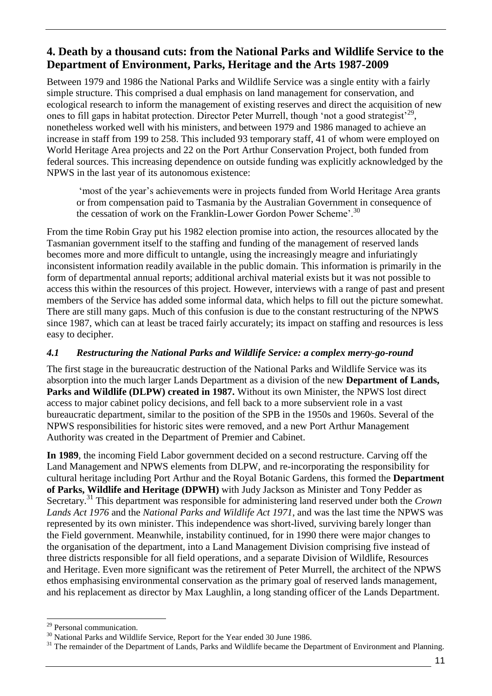## <span id="page-15-0"></span>**4. Death by a thousand cuts: from the National Parks and Wildlife Service to the Department of Environment, Parks, Heritage and the Arts 1987-2009**

Between 1979 and 1986 the National Parks and Wildlife Service was a single entity with a fairly simple structure. This comprised a dual emphasis on land management for conservation, and ecological research to inform the management of existing reserves and direct the acquisition of new ones to fill gaps in habitat protection. Director Peter Murrell, though 'not a good strategist'<sup>29</sup>, nonetheless worked well with his ministers, and between 1979 and 1986 managed to achieve an increase in staff from 199 to 258. This included 93 temporary staff, 41 of whom were employed on World Heritage Area projects and 22 on the Port Arthur Conservation Project, both funded from federal sources. This increasing dependence on outside funding was explicitly acknowledged by the NPWS in the last year of its autonomous existence:

‗most of the year's achievements were in projects funded from World Heritage Area grants or from compensation paid to Tasmania by the Australian Government in consequence of the cessation of work on the Franklin-Lower Gordon Power Scheme'.<sup>30</sup>

From the time Robin Gray put his 1982 election promise into action, the resources allocated by the Tasmanian government itself to the staffing and funding of the management of reserved lands becomes more and more difficult to untangle, using the increasingly meagre and infuriatingly inconsistent information readily available in the public domain. This information is primarily in the form of departmental annual reports; additional archival material exists but it was not possible to access this within the resources of this project. However, interviews with a range of past and present members of the Service has added some informal data, which helps to fill out the picture somewhat. There are still many gaps. Much of this confusion is due to the constant restructuring of the NPWS since 1987, which can at least be traced fairly accurately; its impact on staffing and resources is less easy to decipher.

#### <span id="page-15-1"></span>*4.1 Restructuring the National Parks and Wildlife Service: a complex merry-go-round*

The first stage in the bureaucratic destruction of the National Parks and Wildlife Service was its absorption into the much larger Lands Department as a division of the new **Department of Lands, Parks and Wildlife (DLPW) created in 1987.** Without its own Minister, the NPWS lost direct access to major cabinet policy decisions, and fell back to a more subservient role in a vast bureaucratic department, similar to the position of the SPB in the 1950s and 1960s. Several of the NPWS responsibilities for historic sites were removed, and a new Port Arthur Management Authority was created in the Department of Premier and Cabinet.

**In 1989**, the incoming Field Labor government decided on a second restructure. Carving off the Land Management and NPWS elements from DLPW, and re-incorporating the responsibility for cultural heritage including Port Arthur and the Royal Botanic Gardens, this formed the **Department of Parks, Wildlife and Heritage (DPWH)** with Judy Jackson as Minister and Tony Pedder as Secretary.<sup>31</sup> This department was responsible for administering land reserved under both the *Crown Lands Act 1976* and the *National Parks and Wildlife Act 1971*, and was the last time the NPWS was represented by its own minister. This independence was short-lived, surviving barely longer than the Field government. Meanwhile, instability continued, for in 1990 there were major changes to the organisation of the department, into a Land Management Division comprising five instead of three districts responsible for all field operations, and a separate Division of Wildlife, Resources and Heritage. Even more significant was the retirement of Peter Murrell, the architect of the NPWS ethos emphasising environmental conservation as the primary goal of reserved lands management, and his replacement as director by Max Laughlin, a long standing officer of the Lands Department.

<sup>-</sup><sup>29</sup> Personal communication.

<sup>&</sup>lt;sup>30</sup> National Parks and Wildlife Service, Report for the Year ended 30 June 1986.

<sup>&</sup>lt;sup>31</sup> The remainder of the Department of Lands, Parks and Wildlife became the Department of Environment and Planning.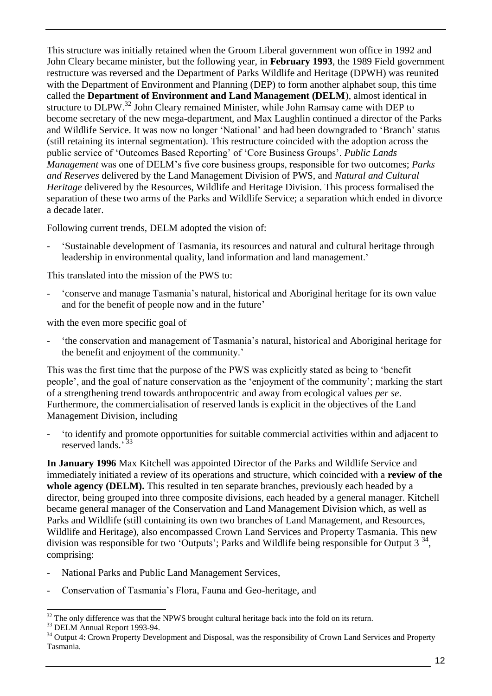This structure was initially retained when the Groom Liberal government won office in 1992 and John Cleary became minister, but the following year, in **February 1993**, the 1989 Field government restructure was reversed and the Department of Parks Wildlife and Heritage (DPWH) was reunited with the Department of Environment and Planning (DEP) to form another alphabet soup, this time called the **Department of Environment and Land Management (DELM**), almost identical in structure to DLPW.<sup>32</sup> John Cleary remained Minister, while John Ramsay came with DEP to become secretary of the new mega-department, and Max Laughlin continued a director of the Parks and Wildlife Service. It was now no longer 'National' and had been downgraded to 'Branch' status (still retaining its internal segmentation). This restructure coincided with the adoption across the public service of ‗Outcomes Based Reporting' of ‗Core Business Groups'. *Public Lands Management* was one of DELM's five core business groups, responsible for two outcomes; *Parks and Reserves* delivered by the Land Management Division of PWS, and *Natural and Cultural Heritage* delivered by the Resources, Wildlife and Heritage Division. This process formalised the separation of these two arms of the Parks and Wildlife Service; a separation which ended in divorce a decade later.

Following current trends, DELM adopted the vision of:

- ‗Sustainable development of Tasmania, its resources and natural and cultural heritage through leadership in environmental quality, land information and land management.'

This translated into the mission of the PWS to:

- ‗conserve and manage Tasmania's natural, historical and Aboriginal heritage for its own value and for the benefit of people now and in the future'

with the even more specific goal of

- ‗the conservation and management of Tasmania's natural, historical and Aboriginal heritage for the benefit and enjoyment of the community.'

This was the first time that the purpose of the PWS was explicitly stated as being to 'benefit people', and the goal of nature conservation as the ‗enjoyment of the community'; marking the start of a strengthening trend towards anthropocentric and away from ecological values *per se*. Furthermore, the commercialisation of reserved lands is explicit in the objectives of the Land Management Division, including

- ‗to identify and promote opportunities for suitable commercial activities within and adjacent to reserved lands.'<sup>33</sup>

**In January 1996** Max Kitchell was appointed Director of the Parks and Wildlife Service and immediately initiated a review of its operations and structure, which coincided with a **review of the**  whole agency (DELM). This resulted in ten separate branches, previously each headed by a director, being grouped into three composite divisions, each headed by a general manager. Kitchell became general manager of the Conservation and Land Management Division which, as well as Parks and Wildlife (still containing its own two branches of Land Management, and Resources, Wildlife and Heritage), also encompassed Crown Land Services and Property Tasmania. This new division was responsible for two 'Outputs'; Parks and Wildlife being responsible for Output  $3^{34}$ , comprising:

- National Parks and Public Land Management Services,
- Conservation of Tasmania's Flora, Fauna and Geo-heritage, and

<sup>-</sup> $32$  The only difference was that the NPWS brought cultural heritage back into the fold on its return.

<sup>&</sup>lt;sup>33</sup> DELM Annual Report 1993-94.

<sup>&</sup>lt;sup>34</sup> Output 4: Crown Property Development and Disposal, was the responsibility of Crown Land Services and Property Tasmania.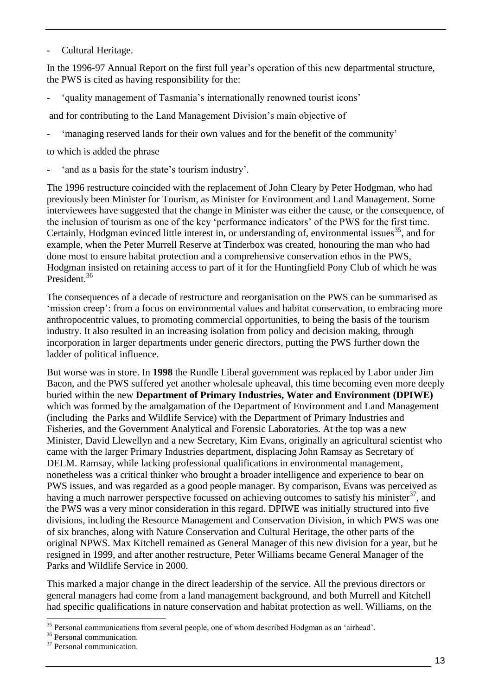- Cultural Heritage.

In the 1996-97 Annual Report on the first full year's operation of this new departmental structure, the PWS is cited as having responsibility for the:

- ‗quality management of Tasmania's internationally renowned tourist icons'

and for contributing to the Land Management Division's main objective of

'managing reserved lands for their own values and for the benefit of the community'

to which is added the phrase

' and as a basis for the state's tourism industry'.

The 1996 restructure coincided with the replacement of John Cleary by Peter Hodgman, who had previously been Minister for Tourism, as Minister for Environment and Land Management. Some interviewees have suggested that the change in Minister was either the cause, or the consequence, of the inclusion of tourism as one of the key 'performance indicators' of the PWS for the first time. Certainly, Hodgman evinced little interest in, or understanding of, environmental issues<sup>35</sup>, and for example, when the Peter Murrell Reserve at Tinderbox was created, honouring the man who had done most to ensure habitat protection and a comprehensive conservation ethos in the PWS, Hodgman insisted on retaining access to part of it for the Huntingfield Pony Club of which he was President.<sup>36</sup>

The consequences of a decade of restructure and reorganisation on the PWS can be summarised as ‗mission creep': from a focus on environmental values and habitat conservation, to embracing more anthropocentric values, to promoting commercial opportunities, to being the basis of the tourism industry. It also resulted in an increasing isolation from policy and decision making, through incorporation in larger departments under generic directors, putting the PWS further down the ladder of political influence.

But worse was in store. In **1998** the Rundle Liberal government was replaced by Labor under Jim Bacon, and the PWS suffered yet another wholesale upheaval, this time becoming even more deeply buried within the new **Department of Primary Industries, Water and Environment (DPIWE)** which was formed by the amalgamation of the Department of Environment and Land Management (including the Parks and Wildlife Service) with the Department of Primary Industries and Fisheries, and the Government Analytical and Forensic Laboratories. At the top was a new Minister, David Llewellyn and a new Secretary, Kim Evans, originally an agricultural scientist who came with the larger Primary Industries department, displacing John Ramsay as Secretary of DELM. Ramsay, while lacking professional qualifications in environmental management, nonetheless was a critical thinker who brought a broader intelligence and experience to bear on PWS issues, and was regarded as a good people manager. By comparison, Evans was perceived as having a much narrower perspective focussed on achieving outcomes to satisfy his minister<sup>37</sup>, and the PWS was a very minor consideration in this regard. DPIWE was initially structured into five divisions, including the Resource Management and Conservation Division, in which PWS was one of six branches, along with Nature Conservation and Cultural Heritage, the other parts of the original NPWS. Max Kitchell remained as General Manager of this new division for a year, but he resigned in 1999, and after another restructure, Peter Williams became General Manager of the Parks and Wildlife Service in 2000.

This marked a major change in the direct leadership of the service. All the previous directors or general managers had come from a land management background, and both Murrell and Kitchell had specific qualifications in nature conservation and habitat protection as well. Williams, on the

<sup>-</sup><sup>35</sup> Personal communications from several people, one of whom described Hodgman as an 'airhead'.

<sup>&</sup>lt;sup>36</sup> Personal communication.

<sup>&</sup>lt;sup>37</sup> Personal communication.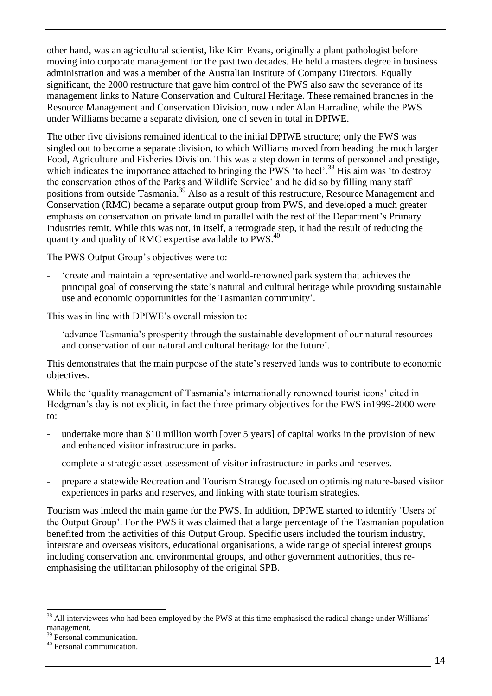other hand, was an agricultural scientist, like Kim Evans, originally a plant pathologist before moving into corporate management for the past two decades. He held a masters degree in business administration and was a member of the Australian Institute of Company Directors. Equally significant, the 2000 restructure that gave him control of the PWS also saw the severance of its management links to Nature Conservation and Cultural Heritage. These remained branches in the Resource Management and Conservation Division, now under Alan Harradine, while the PWS under Williams became a separate division, one of seven in total in DPIWE.

The other five divisions remained identical to the initial DPIWE structure; only the PWS was singled out to become a separate division, to which Williams moved from heading the much larger Food, Agriculture and Fisheries Division. This was a step down in terms of personnel and prestige, which indicates the importance attached to bringing the PWS  $\degree$  to heel'.<sup>38</sup> His aim was  $\degree$  to destroy the conservation ethos of the Parks and Wildlife Service' and he did so by filling many staff positions from outside Tasmania.<sup>39</sup> Also as a result of this restructure, Resource Management and Conservation (RMC) became a separate output group from PWS, and developed a much greater emphasis on conservation on private land in parallel with the rest of the Department's Primary Industries remit. While this was not, in itself, a retrograde step, it had the result of reducing the quantity and quality of RMC expertise available to PWS.<sup>40</sup>

The PWS Output Group's objectives were to:

- ‗create and maintain a representative and world-renowned park system that achieves the principal goal of conserving the state's natural and cultural heritage while providing sustainable use and economic opportunities for the Tasmanian community'.

This was in line with DPIWE's overall mission to:

- ‗advance Tasmania's prosperity through the sustainable development of our natural resources and conservation of our natural and cultural heritage for the future'.

This demonstrates that the main purpose of the state's reserved lands was to contribute to economic objectives.

While the 'quality management of Tasmania's internationally renowned tourist icons' cited in Hodgman's day is not explicit, in fact the three primary objectives for the PWS in1999-2000 were to:

- undertake more than \$10 million worth [over 5 years] of capital works in the provision of new and enhanced visitor infrastructure in parks.
- complete a strategic asset assessment of visitor infrastructure in parks and reserves.
- prepare a statewide Recreation and Tourism Strategy focused on optimising nature-based visitor experiences in parks and reserves, and linking with state tourism strategies.

Tourism was indeed the main game for the PWS. In addition, DPIWE started to identify ‗Users of the Output Group'. For the PWS it was claimed that a large percentage of the Tasmanian population benefited from the activities of this Output Group. Specific users included the tourism industry, interstate and overseas visitors, educational organisations, a wide range of special interest groups including conservation and environmental groups, and other government authorities, thus reemphasising the utilitarian philosophy of the original SPB.

<sup>-</sup> $38$  All interviewees who had been employed by the PWS at this time emphasised the radical change under Williams' management.

<sup>&</sup>lt;sup>39</sup> Personal communication.

<sup>40</sup> Personal communication.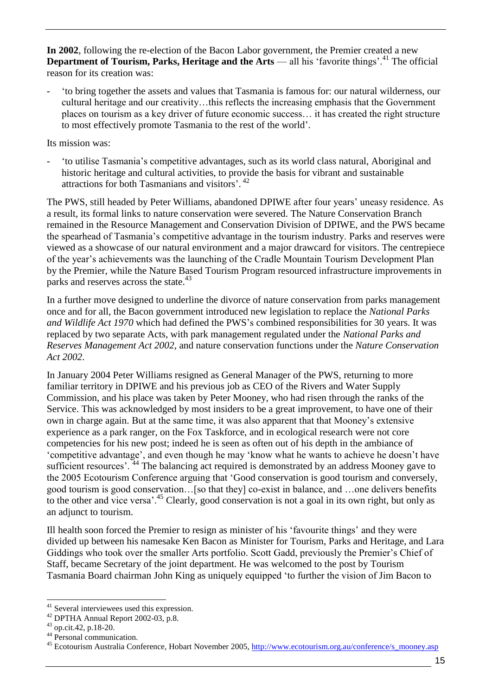**In 2002**, following the re-election of the Bacon Labor government, the Premier created a new **Department of Tourism, Parks, Heritage and the Arts** — all his 'favorite things'.<sup>41</sup> The official reason for its creation was:

- ‗to bring together the assets and values that Tasmania is famous for: our natural wilderness, our cultural heritage and our creativity…this reflects the increasing emphasis that the Government places on tourism as a key driver of future economic success… it has created the right structure to most effectively promote Tasmania to the rest of the world'.

Its mission was:

- ‗to utilise Tasmania's competitive advantages, such as its world class natural, Aboriginal and historic heritage and cultural activities, to provide the basis for vibrant and sustainable attractions for both Tasmanians and visitors'. 42

The PWS, still headed by Peter Williams, abandoned DPIWE after four years' uneasy residence. As a result, its formal links to nature conservation were severed. The Nature Conservation Branch remained in the Resource Management and Conservation Division of DPIWE, and the PWS became the spearhead of Tasmania's competitive advantage in the tourism industry. Parks and reserves were viewed as a showcase of our natural environment and a major drawcard for visitors. The centrepiece of the year's achievements was the launching of the Cradle Mountain Tourism Development Plan by the Premier, while the Nature Based Tourism Program resourced infrastructure improvements in parks and reserves across the state.<sup>43</sup>

In a further move designed to underline the divorce of nature conservation from parks management once and for all, the Bacon government introduced new legislation to replace the *National Parks and Wildlife Act 1970* which had defined the PWS's combined responsibilities for 30 years. It was replaced by two separate Acts, with park management regulated under the *National Parks and Reserves Management Act 2002*, and nature conservation functions under the *Nature Conservation Act 2002*.

In January 2004 Peter Williams resigned as General Manager of the PWS, returning to more familiar territory in DPIWE and his previous job as CEO of the Rivers and Water Supply Commission, and his place was taken by Peter Mooney, who had risen through the ranks of the Service. This was acknowledged by most insiders to be a great improvement, to have one of their own in charge again. But at the same time, it was also apparent that that Mooney's extensive experience as a park ranger, on the Fox Taskforce, and in ecological research were not core competencies for his new post; indeed he is seen as often out of his depth in the ambiance of ‗competitive advantage', and even though he may ‗know what he wants to achieve he doesn't have sufficient resources'. <sup>44</sup> The balancing act required is demonstrated by an address Mooney gave to the 2005 Ecotourism Conference arguing that 'Good conservation is good tourism and conversely, good tourism is good conservation…[so that they] co-exist in balance, and …one delivers benefits to the other and vice versa'.<sup>45</sup> Clearly, good conservation is not a goal in its own right, but only as an adjunct to tourism.

Ill health soon forced the Premier to resign as minister of his ‗favourite things' and they were divided up between his namesake Ken Bacon as Minister for Tourism, Parks and Heritage, and Lara Giddings who took over the smaller Arts portfolio. Scott Gadd, previously the Premier's Chief of Staff, became Secretary of the joint department. He was welcomed to the post by Tourism Tasmania Board chairman John King as uniquely equipped ‗to further the vision of Jim Bacon to

<sup>-</sup><sup>41</sup> Several interviewees used this expression.

<sup>42</sup> DPTHA Annual Report 2002-03, p.8.

 $43$  op.cit.42, p.18-20.

<sup>44</sup> Personal communication.

<sup>&</sup>lt;sup>45</sup> Ecotourism Australia Conference, Hobart November 2005, [http://www.ecotourism.org.au/conference/s\\_mooney.asp](http://www.ecotourism.org.au/conference/s_mooney.asp)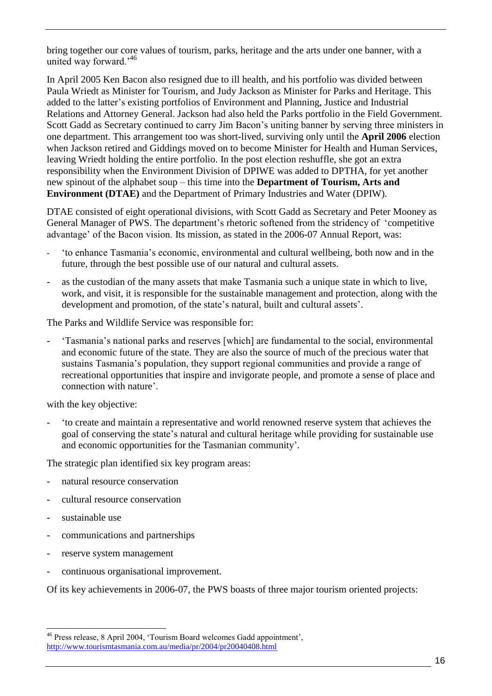bring together our core values of tourism, parks, heritage and the arts under one banner, with a united way forward.'<sup>46</sup>

In April 2005 Ken Bacon also resigned due to ill health, and his portfolio was divided between Paula Wriedt as Minister for Tourism, and Judy Jackson as Minister for Parks and Heritage. This added to the latter's existing portfolios of Environment and Planning, Justice and Industrial Relations and Attorney General. Jackson had also held the Parks portfolio in the Field Government. Scott Gadd as Secretary continued to carry Jim Bacon's uniting banner by serving three ministers in one department. This arrangement too was short-lived, surviving only until the **April 2006** election when Jackson retired and Giddings moved on to become Minister for Health and Human Services, leaving Wriedt holding the entire portfolio. In the post election reshuffle, she got an extra responsibility when the Environment Division of DPIWE was added to DPTHA, for yet another new spinout of the alphabet soup – this time into the **Department of Tourism, Arts and Environment (DTAE)** and the Department of Primary Industries and Water (DPIW).

DTAE consisted of eight operational divisions, with Scott Gadd as Secretary and Peter Mooney as General Manager of PWS. The department's rhetoric softened from the stridency of ‗competitive advantage' of the Bacon vision. Its mission, as stated in the 2006-07 Annual Report, was:

- ‗to enhance Tasmania's economic, environmental and cultural wellbeing, both now and in the future, through the best possible use of our natural and cultural assets.
- as the custodian of the many assets that make Tasmania such a unique state in which to live, work, and visit, it is responsible for the sustainable management and protection, along with the development and promotion, of the state's natural, built and cultural assets'.

The Parks and Wildlife Service was responsible for:

- ‗Tasmania's national parks and reserves [which] are fundamental to the social, environmental and economic future of the state. They are also the source of much of the precious water that sustains Tasmania's population, they support regional communities and provide a range of recreational opportunities that inspire and invigorate people, and promote a sense of place and connection with nature'.

with the key objective:

- ‗to create and maintain a representative and world renowned reserve system that achieves the goal of conserving the state's natural and cultural heritage while providing for sustainable use and economic opportunities for the Tasmanian community'.

The strategic plan identified six key program areas:

- natural resource conservation
- cultural resource conservation
- sustainable use
- communications and partnerships
- reserve system management
- continuous organisational improvement.

Of its key achievements in 2006-07, the PWS boasts of three major tourism oriented projects:

<sup>-</sup><sup>46</sup> Press release, 8 April 2004, 'Tourism Board welcomes Gadd appointment', <http://www.tourismtasmania.com.au/media/pr/2004/pr20040408.html>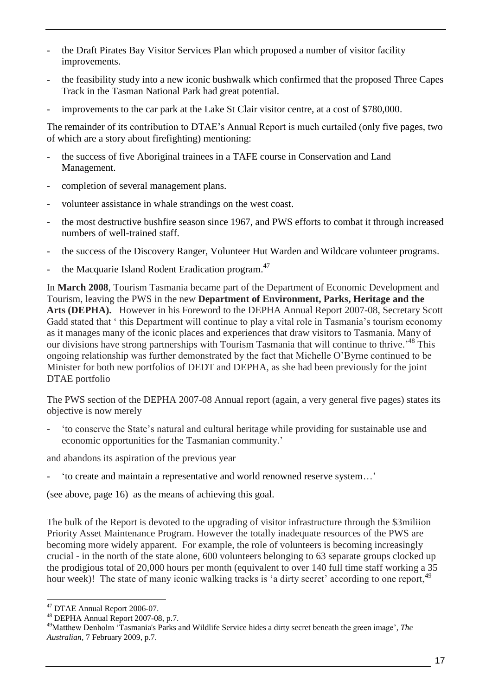- the Draft Pirates Bay Visitor Services Plan which proposed a number of visitor facility improvements.
- the feasibility study into a new iconic bushwalk which confirmed that the proposed Three Capes Track in the Tasman National Park had great potential.
- improvements to the car park at the Lake St Clair visitor centre, at a cost of \$780,000.

The remainder of its contribution to DTAE's Annual Report is much curtailed (only five pages, two of which are a story about firefighting) mentioning:

- the success of five Aboriginal trainees in a TAFE course in Conservation and Land Management.
- completion of several management plans.
- volunteer assistance in whale strandings on the west coast.
- the most destructive bushfire season since 1967, and PWS efforts to combat it through increased numbers of well-trained staff.
- the success of the Discovery Ranger, Volunteer Hut Warden and Wildcare volunteer programs.
- the Macquarie Island Rodent Eradication program.<sup>47</sup>

In **March 2008**, Tourism Tasmania became part of the Department of Economic Development and Tourism, leaving the PWS in the new **Department of Environment, Parks, Heritage and the Arts (DEPHA).** However in his Foreword to the DEPHA Annual Report 2007-08, Secretary Scott Gadd stated that 'this Department will continue to play a vital role in Tasmania's tourism economy as it manages many of the iconic places and experiences that draw visitors to Tasmania. Many of our divisions have strong partnerships with Tourism Tasmania that will continue to thrive.<sup>48</sup> This ongoing relationship was further demonstrated by the fact that Michelle O'Byrne continued to be Minister for both new portfolios of DEDT and DEPHA, as she had been previously for the joint DTAE portfolio

The PWS section of the DEPHA 2007-08 Annual report (again, a very general five pages) states its objective is now merely

- ‗to conserve the State's natural and cultural heritage while providing for sustainable use and economic opportunities for the Tasmanian community.'

and abandons its aspiration of the previous year

- ‗to create and maintain a representative and world renowned reserve system…'

(see above, page 16) as the means of achieving this goal.

The bulk of the Report is devoted to the upgrading of visitor infrastructure through the \$3miliion Priority Asset Maintenance Program. However the totally inadequate resources of the PWS are becoming more widely apparent. For example, the role of volunteers is becoming increasingly crucial - in the north of the state alone, 600 volunteers belonging to 63 separate groups clocked up the prodigious total of 20,000 hours per month (equivalent to over 140 full time staff working a 35 hour week)! The state of many iconic walking tracks is 'a dirty secret' according to one report, <sup>49</sup>

<sup>&</sup>lt;sup>47</sup> DTAE Annual Report 2006-07.

<sup>48</sup> DEPHA Annual Report 2007-08, p.7.

<sup>&</sup>lt;sup>49</sup>Matthew Denholm 'Tasmania's Parks and Wildlife Service hides a dirty secret beneath the green image', *The Australian,* 7 February 2009, p.7.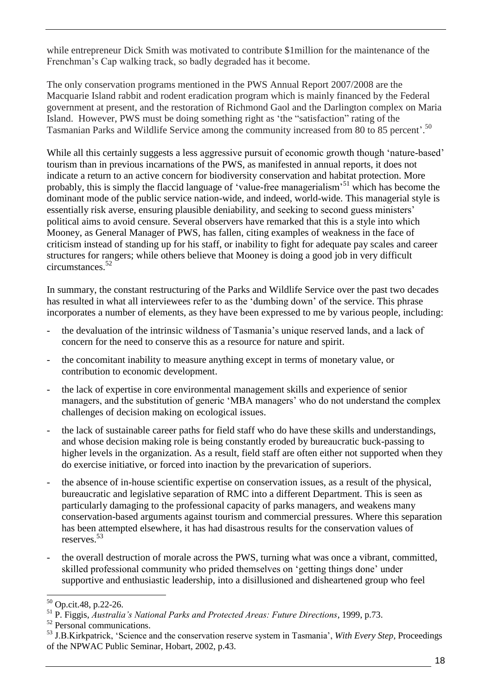while entrepreneur Dick Smith was motivated to contribute \$1million for the maintenance of the Frenchman's Cap walking track, so badly degraded has it become.

The only conservation programs mentioned in the PWS Annual Report 2007/2008 are the Macquarie Island rabbit and rodent eradication program which is mainly financed by the Federal government at present, and the restoration of Richmond Gaol and the Darlington complex on Maria Island. However, PWS must be doing something right as 'the "satisfaction" rating of the Tasmanian Parks and Wildlife Service among the community increased from 80 to 85 percent'.<sup>50</sup>

While all this certainly suggests a less aggressive pursuit of economic growth though 'nature-based' tourism than in previous incarnations of the PWS, as manifested in annual reports, it does not indicate a return to an active concern for biodiversity conservation and habitat protection. More probably, this is simply the flaccid language of 'value-free managerialism'<sup>51</sup> which has become the dominant mode of the public service nation-wide, and indeed, world-wide. This managerial style is essentially risk averse, ensuring plausible deniability, and seeking to second guess ministers' political aims to avoid censure. Several observers have remarked that this is a style into which Mooney, as General Manager of PWS, has fallen, citing examples of weakness in the face of criticism instead of standing up for his staff, or inability to fight for adequate pay scales and career structures for rangers; while others believe that Mooney is doing a good job in very difficult circumstances.<sup>52</sup>

In summary, the constant restructuring of the Parks and Wildlife Service over the past two decades has resulted in what all interviewees refer to as the 'dumbing down' of the service. This phrase incorporates a number of elements, as they have been expressed to me by various people, including:

- the devaluation of the intrinsic wildness of Tasmania's unique reserved lands, and a lack of concern for the need to conserve this as a resource for nature and spirit.
- the concomitant inability to measure anything except in terms of monetary value, or contribution to economic development.
- the lack of expertise in core environmental management skills and experience of senior managers, and the substitution of generic 'MBA managers' who do not understand the complex challenges of decision making on ecological issues.
- the lack of sustainable career paths for field staff who do have these skills and understandings, and whose decision making role is being constantly eroded by bureaucratic buck-passing to higher levels in the organization. As a result, field staff are often either not supported when they do exercise initiative, or forced into inaction by the prevarication of superiors.
- the absence of in-house scientific expertise on conservation issues, as a result of the physical, bureaucratic and legislative separation of RMC into a different Department. This is seen as particularly damaging to the professional capacity of parks managers, and weakens many conservation-based arguments against tourism and commercial pressures. Where this separation has been attempted elsewhere, it has had disastrous results for the conservation values of reserves.<sup>53</sup>
- the overall destruction of morale across the PWS, turning what was once a vibrant, committed, skilled professional community who prided themselves on 'getting things done' under supportive and enthusiastic leadership, into a disillusioned and disheartened group who feel

<sup>-</sup><sup>50</sup> Op.cit.48, p.22-26.

<sup>51</sup> P. Figgis, *Australia's National Parks and Protected Areas: Future Directions*, 1999, p.73.

<sup>52</sup> Personal communications.

<sup>53</sup> J.B.Kirkpatrick, ‗Science and the conservation reserve system in Tasmania', *With Every Step*, Proceedings of the NPWAC Public Seminar, Hobart, 2002, p.43.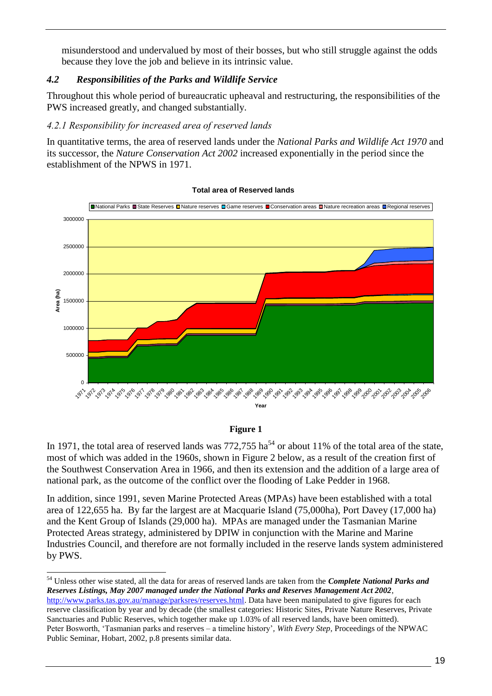misunderstood and undervalued by most of their bosses, but who still struggle against the odds because they love the job and believe in its intrinsic value.

#### <span id="page-23-0"></span>*4.2 Responsibilities of the Parks and Wildlife Service*

Throughout this whole period of bureaucratic upheaval and restructuring, the responsibilities of the PWS increased greatly, and changed substantially.

#### <span id="page-23-1"></span>*4.2.1 Responsibility for increased area of reserved lands*

In quantitative terms, the area of reserved lands under the *National Parks and Wildlife Act 1970* and its successor, the *Nature Conservation Act 2002* increased exponentially in the period since the establishment of the NPWS in 1971.



#### **Total area of Reserved lands**

#### **Figure 1**

In 1971, the total area of reserved lands was  $772,755$  ha<sup>54</sup> or about 11% of the total area of the state, most of which was added in the 1960s, shown in Figure 2 below, as a result of the creation first of the Southwest Conservation Area in 1966, and then its extension and the addition of a large area of national park, as the outcome of the conflict over the flooding of Lake Pedder in 1968.

In addition, since 1991, seven Marine Protected Areas (MPAs) have been established with a total area of 122,655 ha. By far the largest are at Macquarie Island (75,000ha), Port Davey (17,000 ha) and the Kent Group of Islands (29,000 ha). MPAs are managed under the Tasmanian Marine Protected Areas strategy, administered by DPIW in conjunction with the Marine and Marine Industries Council, and therefore are not formally included in the reserve lands system administered by PWS.

<sup>54</sup> Unless other wise stated, all the data for areas of reserved lands are taken from the *Complete National Parks and Reserves Listings, May 2007 managed under the National Parks and Reserves Management Act 2002*, [http://www.parks.tas.gov.au/manage/parksres/reserves.html.](http://www.parks.tas.gov.au/manage/parksres/reserves.html) Data have been manipulated to give figures for each reserve classification by year and by decade (the smallest categories: Historic Sites, Private Nature Reserves, Private Sanctuaries and Public Reserves, which together make up 1.03% of all reserved lands, have been omitted). Peter Bosworth, ‗Tasmanian parks and reserves – a timeline history'*, With Every Step*, Proceedings of the NPWAC Public Seminar, Hobart, 2002, p.8 presents similar data.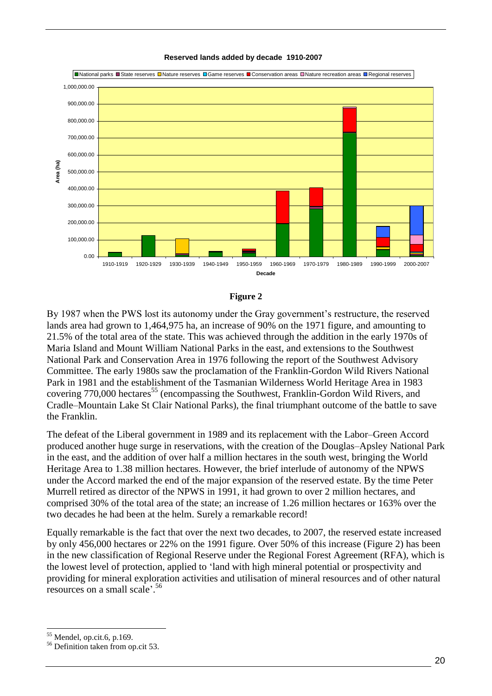





By 1987 when the PWS lost its autonomy under the Gray government's restructure, the reserved lands area had grown to 1,464,975 ha, an increase of 90% on the 1971 figure, and amounting to 21.5% of the total area of the state. This was achieved through the addition in the early 1970s of Maria Island and Mount William National Parks in the east, and extensions to the Southwest National Park and Conservation Area in 1976 following the report of the Southwest Advisory Committee. The early 1980s saw the proclamation of the Franklin-Gordon Wild Rivers National Park in 1981 and the establishment of the Tasmanian Wilderness World Heritage Area in 1983 covering 770,000 hectares<sup>55</sup> (encompassing the Southwest, Franklin-Gordon Wild Rivers, and Cradle–Mountain Lake St Clair National Parks), the final triumphant outcome of the battle to save the Franklin.

The defeat of the Liberal government in 1989 and its replacement with the Labor–Green Accord produced another huge surge in reservations, with the creation of the Douglas–Apsley National Park in the east, and the addition of over half a million hectares in the south west, bringing the World Heritage Area to 1.38 million hectares. However, the brief interlude of autonomy of the NPWS under the Accord marked the end of the major expansion of the reserved estate. By the time Peter Murrell retired as director of the NPWS in 1991, it had grown to over 2 million hectares, and comprised 30% of the total area of the state; an increase of 1.26 million hectares or 163% over the two decades he had been at the helm. Surely a remarkable record!

Equally remarkable is the fact that over the next two decades, to 2007, the reserved estate increased by only 456,000 hectares or 22% on the 1991 figure. Over 50% of this increase (Figure 2) has been in the new classification of Regional Reserve under the Regional Forest Agreement (RFA), which is the lowest level of protection, applied to 'land with high mineral potential or prospectivity and providing for mineral exploration activities and utilisation of mineral resources and of other natural resources on a small scale'. 56

Mendel, op.cit.6, p.169.

<sup>56</sup> Definition taken from op.cit 53.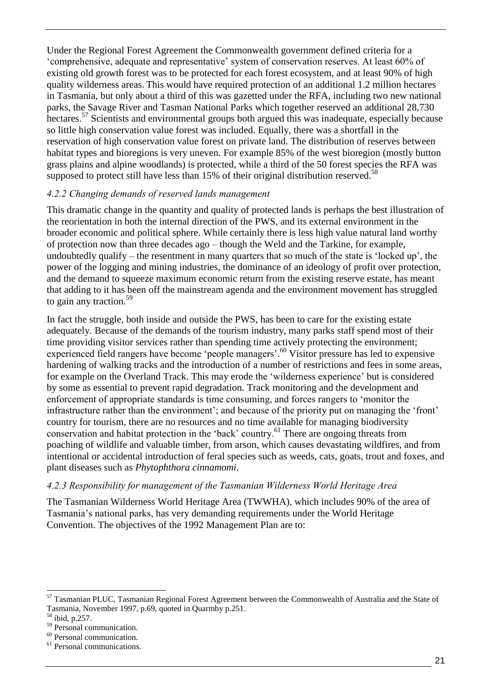Under the Regional Forest Agreement the Commonwealth government defined criteria for a ‗comprehensive, adequate and representative' system of conservation reserves. At least 60% of existing old growth forest was to be protected for each forest ecosystem, and at least 90% of high quality wilderness areas. This would have required protection of an additional 1.2 million hectares in Tasmania, but only about a third of this was gazetted under the RFA, including two new national parks, the Savage River and Tasman National Parks which together reserved an additional 28,730 hectares.<sup>57</sup> Scientists and environmental groups both argued this was inadequate, especially because so little high conservation value forest was included. Equally, there was a shortfall in the reservation of high conservation value forest on private land. The distribution of reserves between habitat types and bioregions is very uneven. For example 85% of the west bioregion (mostly button grass plains and alpine woodlands) is protected, while a third of the 50 forest species the RFA was supposed to protect still have less than 15% of their original distribution reserved.<sup>58</sup>

#### <span id="page-25-0"></span>*4.2.2 Changing demands of reserved lands management*

This dramatic change in the quantity and quality of protected lands is perhaps the best illustration of the reorientation in both the internal direction of the PWS, and its external environment in the broader economic and political sphere. While certainly there is less high value natural land worthy of protection now than three decades ago – though the Weld and the Tarkine, for example, undoubtedly qualify – the resentment in many quarters that so much of the state is 'locked up', the power of the logging and mining industries, the dominance of an ideology of profit over protection, and the demand to squeeze maximum economic return from the existing reserve estate, has meant that adding to it has been off the mainstream agenda and the environment movement has struggled to gain any traction.<sup>59</sup>

In fact the struggle, both inside and outside the PWS, has been to care for the existing estate adequately. Because of the demands of the tourism industry, many parks staff spend most of their time providing visitor services rather than spending time actively protecting the environment; experienced field rangers have become 'people managers'.<sup>60</sup> Visitor pressure has led to expensive hardening of walking tracks and the introduction of a number of restrictions and fees in some areas, for example on the Overland Track. This may erode the 'wilderness experience' but is considered by some as essential to prevent rapid degradation. Track monitoring and the development and enforcement of appropriate standards is time consuming, and forces rangers to 'monitor the infrastructure rather than the environment'; and because of the priority put on managing the 'front' country for tourism, there are no resources and no time available for managing biodiversity country for conservation and habitat protection in the 'back' country.<sup>61</sup> There are ongoing threats from poaching of wildlife and valuable timber, from arson, which causes devastating wildfires, and from intentional or accidental introduction of feral species such as weeds, cats, goats, trout and foxes, and plant diseases such as *Phytophthora cinnamomi*.

#### <span id="page-25-1"></span>*4.2.3 Responsibility for management of the Tasmanian Wilderness World Heritage Area*

The Tasmanian Wilderness World Heritage Area (TWWHA), which includes 90% of the area of Tasmania's national parks, has very demanding requirements under the World Heritage Convention. The objectives of the 1992 Management Plan are to:

<sup>&</sup>lt;sup>57</sup> Tasmanian PLUC, Tasmanian Regional Forest Agreement between the Commonwealth of Australia and the State of Tasmania, November 1997, p.69, quoted in Quarmby p.251.

 $58$  ibid, p.257.

<sup>59</sup> Personal communication.

<sup>60</sup> Personal communication.

<sup>&</sup>lt;sup>61</sup> Personal communications.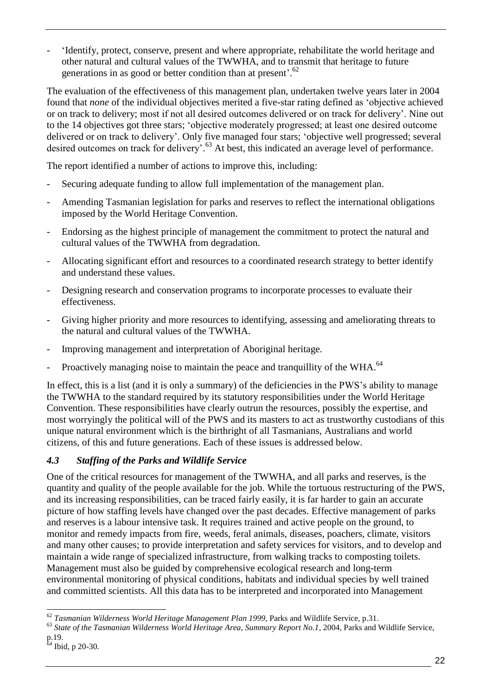- ‗Identify, protect, conserve, present and where appropriate, rehabilitate the world heritage and other natural and cultural values of the TWWHA, and to transmit that heritage to future generations in as good or better condition than at present'.<sup>62</sup>

The evaluation of the effectiveness of this management plan, undertaken twelve years later in 2004 found that *none* of the individual objectives merited a five-star rating defined as 'objective achieved or on track to delivery; most if not all desired outcomes delivered or on track for delivery'. Nine out to the 14 objectives got three stars; 'objective moderately progressed; at least one desired outcome delivered or on track to delivery'. Only five managed four stars; 'objective well progressed; several desired outcomes on track for delivery'.<sup>63</sup> At best, this indicated an average level of performance.

The report identified a number of actions to improve this, including:

- Securing adequate funding to allow full implementation of the management plan.
- Amending Tasmanian legislation for parks and reserves to reflect the international obligations imposed by the World Heritage Convention.
- Endorsing as the highest principle of management the commitment to protect the natural and cultural values of the TWWHA from degradation.
- Allocating significant effort and resources to a coordinated research strategy to better identify and understand these values.
- Designing research and conservation programs to incorporate processes to evaluate their effectiveness.
- Giving higher priority and more resources to identifying, assessing and ameliorating threats to the natural and cultural values of the TWWHA.
- Improving management and interpretation of Aboriginal heritage.
- Proactively managing noise to maintain the peace and tranquillity of the WHA.<sup>64</sup>

In effect, this is a list (and it is only a summary) of the deficiencies in the PWS's ability to manage the TWWHA to the standard required by its statutory responsibilities under the World Heritage Convention. These responsibilities have clearly outrun the resources, possibly the expertise, and most worryingly the political will of the PWS and its masters to act as trustworthy custodians of this unique natural environment which is the birthright of all Tasmanians, Australians and world citizens, of this and future generations. Each of these issues is addressed below.

## <span id="page-26-0"></span>*4.3 Staffing of the Parks and Wildlife Service*

One of the critical resources for management of the TWWHA, and all parks and reserves, is the quantity and quality of the people available for the job. While the tortuous restructuring of the PWS, and its increasing responsibilities, can be traced fairly easily, it is far harder to gain an accurate picture of how staffing levels have changed over the past decades. Effective management of parks and reserves is a labour intensive task. It requires trained and active people on the ground, to monitor and remedy impacts from fire, weeds, feral animals, diseases, poachers, climate, visitors and many other causes; to provide interpretation and safety services for visitors, and to develop and maintain a wide range of specialized infrastructure, from walking tracks to composting toilets. Management must also be guided by comprehensive ecological research and long-term environmental monitoring of physical conditions, habitats and individual species by well trained and committed scientists. All this data has to be interpreted and incorporated into Management

<sup>-</sup><sup>62</sup> *Tasmanian Wilderness World Heritage Management Plan 1999*, Parks and Wildlife Service, p.31.

<sup>63</sup> *State of the Tasmanian Wilderness World Heritage Area, Summary Report No.1*, 2004, Parks and Wildlife Service, p.19.

 $64$  Ibid, p 20-30.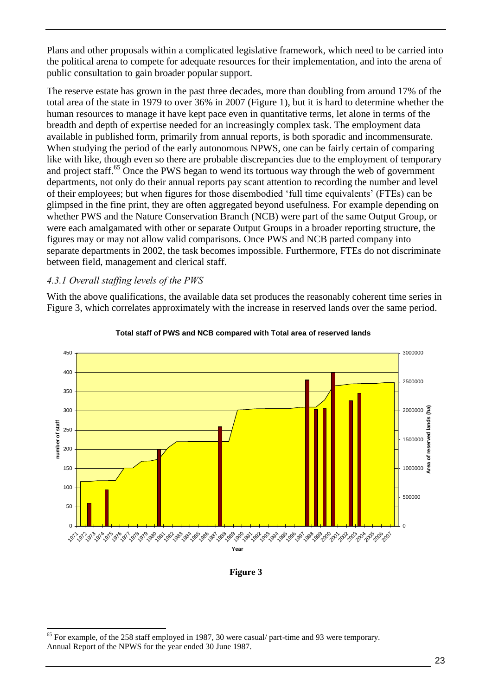Plans and other proposals within a complicated legislative framework, which need to be carried into the political arena to compete for adequate resources for their implementation, and into the arena of public consultation to gain broader popular support.

The reserve estate has grown in the past three decades, more than doubling from around 17% of the total area of the state in 1979 to over 36% in 2007 (Figure 1), but it is hard to determine whether the human resources to manage it have kept pace even in quantitative terms, let alone in terms of the breadth and depth of expertise needed for an increasingly complex task. The employment data available in published form, primarily from annual reports, is both sporadic and incommensurate. When studying the period of the early autonomous NPWS, one can be fairly certain of comparing like with like, though even so there are probable discrepancies due to the employment of temporary and project staff.<sup>65</sup> Once the PWS began to wend its tortuous way through the web of government departments, not only do their annual reports pay scant attention to recording the number and level of their employees; but when figures for those disembodied ‗full time equivalents' (FTEs) can be glimpsed in the fine print, they are often aggregated beyond usefulness. For example depending on whether PWS and the Nature Conservation Branch (NCB) were part of the same Output Group, or were each amalgamated with other or separate Output Groups in a broader reporting structure, the figures may or may not allow valid comparisons. Once PWS and NCB parted company into separate departments in 2002, the task becomes impossible. Furthermore, FTEs do not discriminate between field, management and clerical staff.

#### <span id="page-27-0"></span>*4.3.1 Overall staffing levels of the PWS*

-

With the above qualifications, the available data set produces the reasonably coherent time series in Figure 3, which correlates approximately with the increase in reserved lands over the same period.



#### **Total staff of PWS and NCB compared with Total area of reserved lands**

#### **Figure 3**

 $65$  For example, of the 258 staff employed in 1987, 30 were casual/ part-time and 93 were temporary. Annual Report of the NPWS for the year ended 30 June 1987.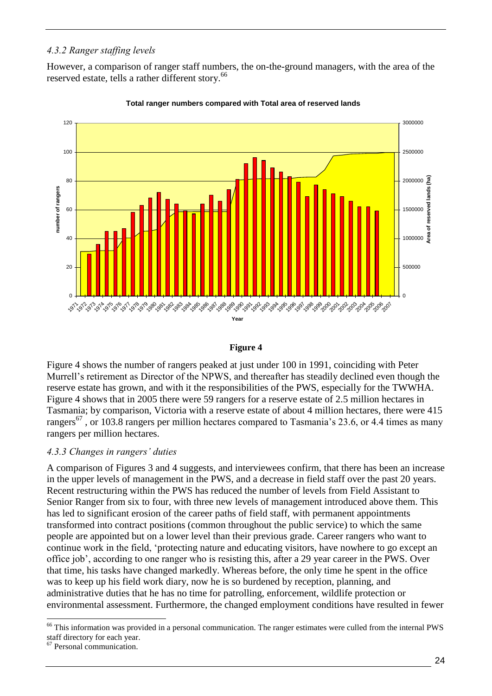#### <span id="page-28-0"></span>*4.3.2 Ranger staffing levels*

However, a comparison of ranger staff numbers, the on-the-ground managers, with the area of the reserved estate, tells a rather different story.<sup>66</sup>





#### **Figure 4**

Figure 4 shows the number of rangers peaked at just under 100 in 1991, coinciding with Peter Murrell's retirement as Director of the NPWS, and thereafter has steadily declined even though the reserve estate has grown, and with it the responsibilities of the PWS, especially for the TWWHA. Figure 4 shows that in 2005 there were 59 rangers for a reserve estate of 2.5 million hectares in Tasmania; by comparison, Victoria with a reserve estate of about 4 million hectares, there were 415 rangers<sup>67</sup>, or 103.8 rangers per million hectares compared to Tasmania's 23.6, or 4.4 times as many rangers per million hectares.

#### <span id="page-28-1"></span>*4.3.3 Changes in rangers' duties*

A comparison of Figures 3 and 4 suggests, and interviewees confirm, that there has been an increase in the upper levels of management in the PWS, and a decrease in field staff over the past 20 years. Recent restructuring within the PWS has reduced the number of levels from Field Assistant to Senior Ranger from six to four, with three new levels of management introduced above them. This has led to significant erosion of the career paths of field staff, with permanent appointments transformed into contract positions (common throughout the public service) to which the same people are appointed but on a lower level than their previous grade. Career rangers who want to continue work in the field, 'protecting nature and educating visitors, have nowhere to go except an office job', according to one ranger who is resisting this, after a 29 year career in the PWS. Over that time, his tasks have changed markedly. Whereas before, the only time he spent in the office was to keep up his field work diary, now he is so burdened by reception, planning, and administrative duties that he has no time for patrolling, enforcement, wildlife protection or environmental assessment. Furthermore, the changed employment conditions have resulted in fewer

<sup>-</sup><sup>66</sup> This information was provided in a personal communication. The ranger estimates were culled from the internal PWS staff directory for each year.

<sup>67</sup> Personal communication.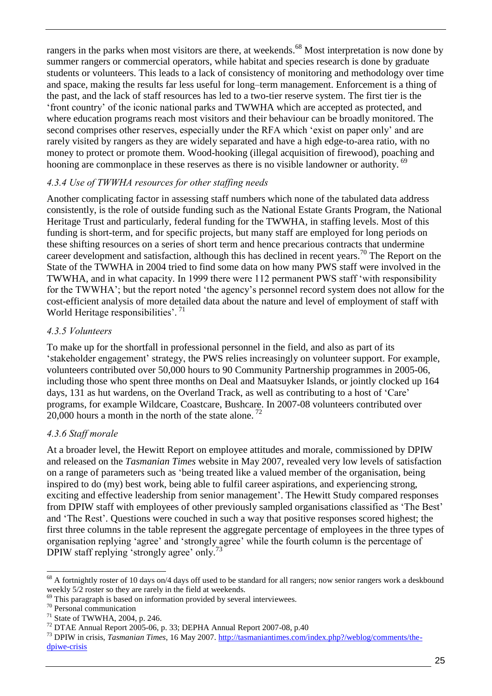rangers in the parks when most visitors are there, at weekends.<sup>68</sup> Most interpretation is now done by summer rangers or commercial operators, while habitat and species research is done by graduate students or volunteers. This leads to a lack of consistency of monitoring and methodology over time and space, making the results far less useful for long–term management. Enforcement is a thing of the past, and the lack of staff resources has led to a two-tier reserve system. The first tier is the ‗front country' of the iconic national parks and TWWHA which are accepted as protected, and where education programs reach most visitors and their behaviour can be broadly monitored. The second comprises other reserves, especially under the RFA which 'exist on paper only' and are rarely visited by rangers as they are widely separated and have a high edge-to-area ratio, with no money to protect or promote them. Wood-hooking (illegal acquisition of firewood), poaching and hooning are commonplace in these reserves as there is no visible landowner or authority. <sup>69</sup>

#### <span id="page-29-0"></span>*4.3.4 Use of TWWHA resources for other staffing needs*

Another complicating factor in assessing staff numbers which none of the tabulated data address consistently, is the role of outside funding such as the National Estate Grants Program, the National Heritage Trust and particularly, federal funding for the TWWHA, in staffing levels. Most of this funding is short-term, and for specific projects, but many staff are employed for long periods on these shifting resources on a series of short term and hence precarious contracts that undermine career development and satisfaction, although this has declined in recent years.<sup>70</sup> The Report on the State of the TWWHA in 2004 tried to find some data on how many PWS staff were involved in the TWWHA, and in what capacity. In 1999 there were 112 permanent PWS staff ‗with responsibility for the TWWHA'; but the report noted 'the agency's personnel record system does not allow for the cost-efficient analysis of more detailed data about the nature and level of employment of staff with World Heritage responsibilities'.<sup>71</sup>

#### <span id="page-29-1"></span>*4.3.5 Volunteers*

To make up for the shortfall in professional personnel in the field, and also as part of its ‗stakeholder engagement' strategy, the PWS relies increasingly on volunteer support. For example, volunteers contributed over 50,000 hours to 90 Community Partnership programmes in 2005-06, including those who spent three months on Deal and Maatsuyker Islands, or jointly clocked up 164 days, 131 as hut wardens, on the Overland Track, as well as contributing to a host of 'Care' programs, for example Wildcare, Coastcare, Bushcare. In 2007-08 volunteers contributed over 20,000 hours a month in the north of the state alone.<sup>72</sup>

#### <span id="page-29-2"></span>*4.3.6 Staff morale*

At a broader level, the Hewitt Report on employee attitudes and morale, commissioned by DPIW and released on the *Tasmanian Times* website in May 2007, revealed very low levels of satisfaction on a range of parameters such as ‗being treated like a valued member of the organisation, being inspired to do (my) best work, being able to fulfil career aspirations, and experiencing strong, exciting and effective leadership from senior management'. The Hewitt Study compared responses from DPIW staff with employees of other previously sampled organisations classified as 'The Best' and ‗The Rest'. Questions were couched in such a way that positive responses scored highest; the first three columns in the table represent the aggregate percentage of employees in the three types of organisation replying ‗agree' and ‗strongly agree' while the fourth column is the percentage of DPIW staff replying 'strongly agree' only.<sup>73</sup>

 $68$  A fortnightly roster of 10 days on/4 days off used to be standard for all rangers; now senior rangers work a deskbound weekly 5/2 roster so they are rarely in the field at weekends.

 $69$  This paragraph is based on information provided by several interviewees.

<sup>70</sup> Personal communication

 $71$  State of TWWHA, 2004, p. 246.

 $12$  DTAE Annual Report 2005-06, p. 33; DEPHA Annual Report 2007-08, p.40

<sup>73</sup> DPIW in crisis, *Tasmanian Times*, 16 May 2007. [http://tasmaniantimes.com/index.php?/weblog/comments/the](http://tasmaniantimes.com/index.php?/weblog/comments/the-dpiwe-crisis)[dpiwe-crisis](http://tasmaniantimes.com/index.php?/weblog/comments/the-dpiwe-crisis)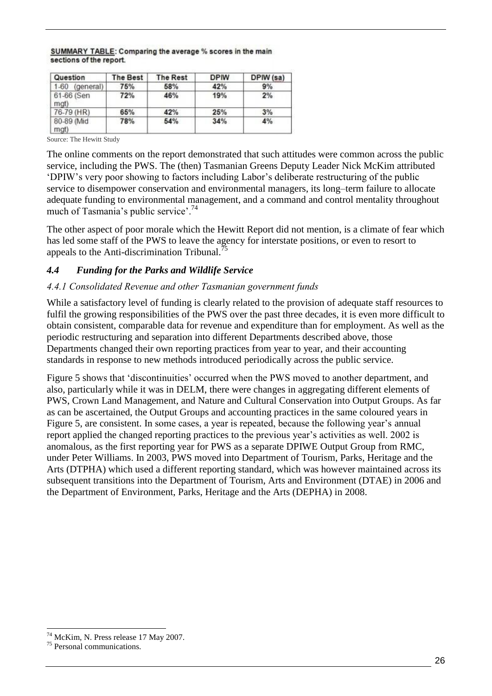#### SUMMARY TABLE: Comparing the average % scores in the main sections of the report.

| Question            | The Best | <b>The Rest</b> | <b>DPIW</b> | DPIW (sa) |
|---------------------|----------|-----------------|-------------|-----------|
| 1-60 (general)      | 75%      | 58%             | 42%         | 9%        |
| 61-66 (Sen<br>mgt)  | 72%      | 46%             | 19%         | 2%        |
| 76-79 (HR)          | 65%      | 42%             | 25%         | 3%        |
| 80-89 (Mid)<br>mat) | 78%      | 54%             | 34%         | 4%        |

Source: The Hewitt Study

The online comments on the report demonstrated that such attitudes were common across the public service, including the PWS. The (then) Tasmanian Greens Deputy Leader Nick McKim attributed ‗DPIW's very poor showing to factors including Labor's deliberate restructuring of the public service to disempower conservation and environmental managers, its long–term failure to allocate adequate funding to environmental management, and a command and control mentality throughout much of Tasmania's public service'.<sup>74</sup>

The other aspect of poor morale which the Hewitt Report did not mention, is a climate of fear which has led some staff of the PWS to leave the agency for interstate positions, or even to resort to appeals to the Anti-discrimination Tribunal.<sup>75</sup>

#### <span id="page-30-0"></span>*4.4 Funding for the Parks and Wildlife Service*

#### <span id="page-30-1"></span>*4.4.1 Consolidated Revenue and other Tasmanian government funds*

While a satisfactory level of funding is clearly related to the provision of adequate staff resources to fulfil the growing responsibilities of the PWS over the past three decades, it is even more difficult to obtain consistent, comparable data for revenue and expenditure than for employment. As well as the periodic restructuring and separation into different Departments described above, those Departments changed their own reporting practices from year to year, and their accounting standards in response to new methods introduced periodically across the public service.

Figure 5 shows that 'discontinuities' occurred when the PWS moved to another department, and also, particularly while it was in DELM, there were changes in aggregating different elements of PWS, Crown Land Management, and Nature and Cultural Conservation into Output Groups. As far as can be ascertained, the Output Groups and accounting practices in the same coloured years in Figure 5, are consistent. In some cases, a year is repeated, because the following year's annual report applied the changed reporting practices to the previous year's activities as well. 2002 is anomalous, as the first reporting year for PWS as a separate DPIWE Output Group from RMC, under Peter Williams. In 2003, PWS moved into Department of Tourism, Parks, Heritage and the Arts (DTPHA) which used a different reporting standard, which was however maintained across its subsequent transitions into the Department of Tourism, Arts and Environment (DTAE) in 2006 and the Department of Environment, Parks, Heritage and the Arts (DEPHA) in 2008.

<sup>-</sup><sup>74</sup> McKim, N. Press release 17 May 2007.

<sup>75</sup> Personal communications.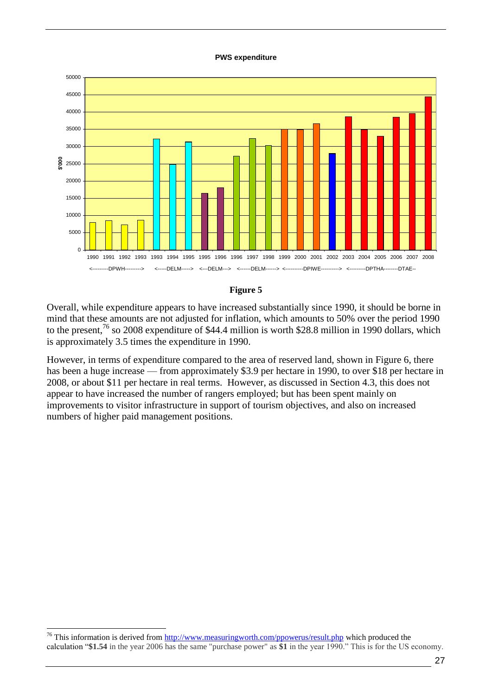#### **PWS expenditure**





Overall, while expenditure appears to have increased substantially since 1990, it should be borne in mind that these amounts are not adjusted for inflation, which amounts to 50% over the period 1990 to the present,<sup>76</sup> so 2008 expenditure of \$44.4 million is worth \$28.8 million in 1990 dollars, which is approximately 3.5 times the expenditure in 1990.

However, in terms of expenditure compared to the area of reserved land, shown in Figure 6, there has been a huge increase — from approximately \$3.9 per hectare in 1990, to over \$18 per hectare in 2008, or about \$11 per hectare in real terms. However, as discussed in Section 4.3, this does not appear to have increased the number of rangers employed; but has been spent mainly on improvements to visitor infrastructure in support of tourism objectives, and also on increased numbers of higher paid management positions.

<sup>&</sup>lt;sup>76</sup> This information is derived from<http://www.measuringworth.com/ppowerus/result.php> which produced the calculation ―**\$1.54** in the year 2006 has the same "purchase power" as **\$1** in the year 1990.‖ This is for the US economy.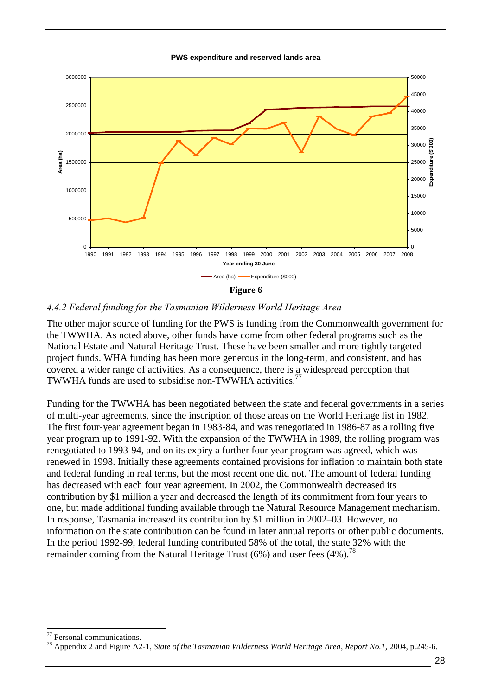**PWS expenditure and reserved lands area**



#### <span id="page-32-0"></span>*4.4.2 Federal funding for the Tasmanian Wilderness World Heritage Area*

The other major source of funding for the PWS is funding from the Commonwealth government for the TWWHA. As noted above, other funds have come from other federal programs such as the National Estate and Natural Heritage Trust. These have been smaller and more tightly targeted project funds. WHA funding has been more generous in the long-term, and consistent, and has covered a wider range of activities. As a consequence, there is a widespread perception that TWWHA funds are used to subsidise non-TWWHA activities.<sup>77</sup>

Funding for the TWWHA has been negotiated between the state and federal governments in a series of multi-year agreements, since the inscription of those areas on the World Heritage list in 1982. The first four-year agreement began in 1983-84, and was renegotiated in 1986-87 as a rolling five year program up to 1991-92. With the expansion of the TWWHA in 1989, the rolling program was renegotiated to 1993-94, and on its expiry a further four year program was agreed, which was renewed in 1998. Initially these agreements contained provisions for inflation to maintain both state and federal funding in real terms, but the most recent one did not. The amount of federal funding has decreased with each four year agreement. In 2002, the Commonwealth decreased its contribution by \$1 million a year and decreased the length of its commitment from four years to one, but made additional funding available through the Natural Resource Management mechanism. In response, Tasmania increased its contribution by \$1 million in 2002–03. However, no information on the state contribution can be found in later annual reports or other public documents. In the period 1992-99, federal funding contributed 58% of the total, the state 32% with the remainder coming from the Natural Heritage Trust (6%) and user fees (4%).<sup>78</sup>

Personal communications.

<sup>78</sup> Appendix 2 and Figure A2-1, *State of the Tasmanian Wilderness World Heritage Area*, *Report No.1,* 2004, p.245-6.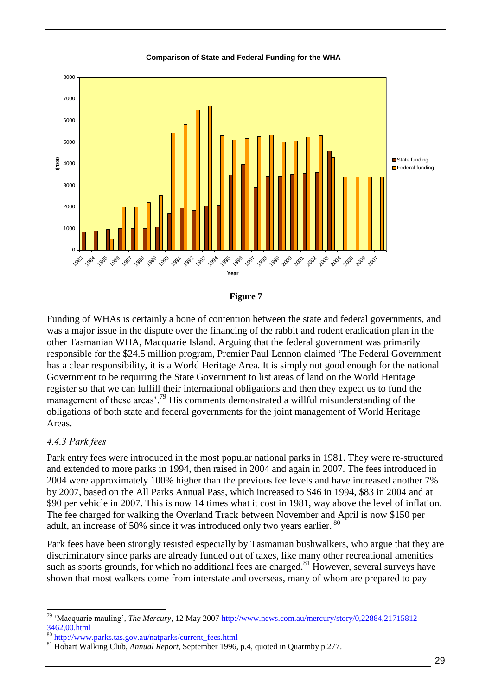

#### **Comparison of State and Federal Funding for the WHA**



Funding of WHAs is certainly a bone of contention between the state and federal governments, and was a major issue in the dispute over the financing of the rabbit and rodent eradication plan in the other Tasmanian WHA, Macquarie Island. Arguing that the federal government was primarily responsible for the \$24.5 million program, Premier Paul Lennon claimed 'The Federal Government has a clear responsibility, it is a World Heritage Area. It is simply not good enough for the national Government to be requiring the State Government to list areas of land on the World Heritage register so that we can fulfill their international obligations and then they expect us to fund the management of these areas'.<sup>79</sup> His comments demonstrated a willful misunderstanding of the obligations of both state and federal governments for the joint management of World Heritage Areas.

#### <span id="page-33-0"></span>*4.4.3 Park fees*

-

Park entry fees were introduced in the most popular national parks in 1981. They were re-structured and extended to more parks in 1994, then raised in 2004 and again in 2007. The fees introduced in 2004 were approximately 100% higher than the previous fee levels and have increased another 7% by 2007, based on the All Parks Annual Pass, which increased to \$46 in 1994, \$83 in 2004 and at \$90 per vehicle in 2007. This is now 14 times what it cost in 1981, way above the level of inflation. The fee charged for walking the Overland Track between November and April is now \$150 per adult, an increase of 50% since it was introduced only two years earlier. 80

Park fees have been strongly resisted especially by Tasmanian bushwalkers, who argue that they are discriminatory since parks are already funded out of taxes, like many other recreational amenities such as sports grounds, for which no additional fees are charged.<sup>81</sup> However, several surveys have shown that most walkers come from interstate and overseas, many of whom are prepared to pay

<sup>&</sup>lt;sup>79</sup> 'Macquarie mauling', *The Mercury*, 12 May 2007 [http://www.news.com.au/mercury/story/0,22884,21715812-](http://www.news.com.au/mercury/story/0,22884,21715812-3462,00.html)  $\frac{3462,00.$ html

<sup>80</sup> [http://www.parks.tas.gov.au/natparks/current\\_fees.html](http://www.parks.tas.gov.au/natparks/current_fees.html)

<sup>81</sup> Hobart Walking Club, *Annual Report*, September 1996, p.4, quoted in Quarmby p.277.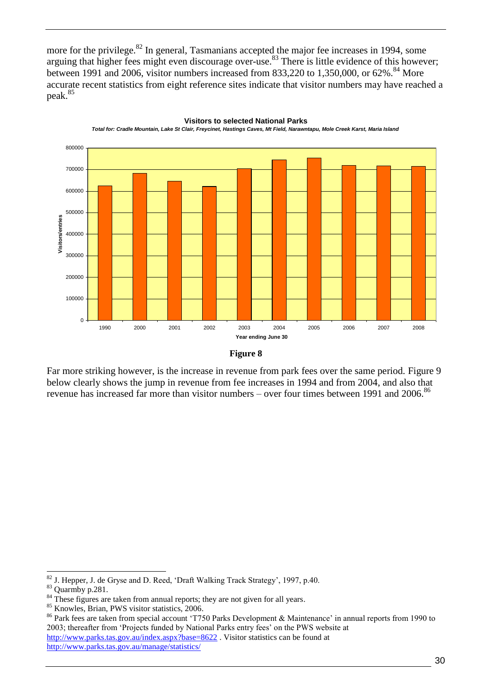more for the privilege.<sup>82</sup> In general, Tasmanians accepted the major fee increases in 1994, some arguing that higher fees might even discourage over-use.<sup>83</sup> There is little evidence of this however; between 1991 and 2006, visitor numbers increased from 833,220 to 1,350,000, or  $62\%$ .<sup>84</sup> More accurate recent statistics from eight reference sites indicate that visitor numbers may have reached a peak.<sup>85</sup>



#### **Visitors to selected National Parks**

*Total for: Cradle Mountain, Lake St Clair, Freycinet, Hastings Caves, Mt Field, Narawntapu, Mole Creek Karst, Maria Island*

#### **Figure 8**

Far more striking however, is the increase in revenue from park fees over the same period. Figure 9 below clearly shows the jump in revenue from fee increases in 1994 and from 2004, and also that revenue has increased far more than visitor numbers – over four times between 1991 and 2006.<sup>86</sup>

 $82$  J. Hepper, J. de Gryse and D. Reed, 'Draft Walking Track Strategy', 1997, p.40.

<sup>83</sup> Quarmby p.281.

 $84$ <sup>84</sup> These figures are taken from annual reports; they are not given for all years.

<sup>85</sup> Knowles, Brian, PWS visitor statistics, 2006.

<sup>&</sup>lt;sup>86</sup> Park fees are taken from special account 'T750 Parks Development & Maintenance' in annual reports from 1990 to 2003; thereafter from 'Projects funded by National Parks entry fees' on the PWS website at <http://www.parks.tas.gov.au/index.aspx?base=8622> . Visitor statistics can be found at

<http://www.parks.tas.gov.au/manage/statistics/>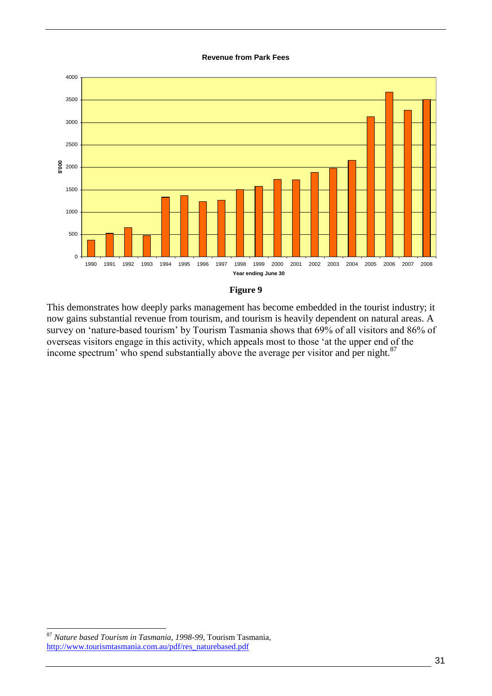#### **Revenue from Park Fees**





This demonstrates how deeply parks management has become embedded in the tourist industry; it now gains substantial revenue from tourism, and tourism is heavily dependent on natural areas. A survey on 'nature-based tourism' by Tourism Tasmania shows that 69% of all visitors and 86% of overseas visitors engage in this activity, which appeals most to those ‗at the upper end of the income spectrum' who spend substantially above the average per visitor and per night.<sup>87</sup>

<sup>87</sup> *Nature based Tourism in Tasmania, 1998-99*, Tourism Tasmania, [http://www.tourismtasmania.com.au/pdf/res\\_naturebased.pdf](http://www.tourismtasmania.com.au/pdf/res_naturebased.pdf)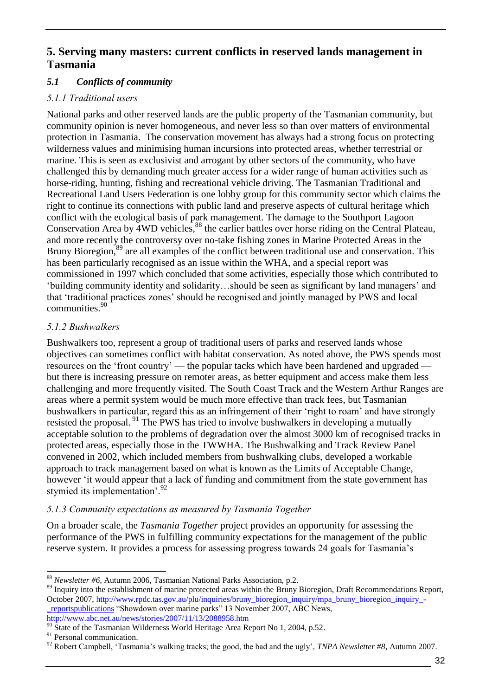## <span id="page-36-0"></span>**5. Serving many masters: current conflicts in reserved lands management in Tasmania**

#### <span id="page-36-1"></span>*5.1 Conflicts of community*

#### <span id="page-36-2"></span>*5.1.1 Traditional users*

National parks and other reserved lands are the public property of the Tasmanian community, but community opinion is never homogeneous, and never less so than over matters of environmental protection in Tasmania. The conservation movement has always had a strong focus on protecting wilderness values and minimising human incursions into protected areas, whether terrestrial or marine. This is seen as exclusivist and arrogant by other sectors of the community, who have challenged this by demanding much greater access for a wider range of human activities such as horse-riding, hunting, fishing and recreational vehicle driving. The Tasmanian Traditional and Recreational Land Users Federation is one lobby group for this community sector which claims the right to continue its connections with public land and preserve aspects of cultural heritage which conflict with the ecological basis of park management. The damage to the Southport Lagoon Conservation Area by 4WD vehicles,<sup>88</sup> the earlier battles over horse riding on the Central Plateau, and more recently the controversy over no-take fishing zones in Marine Protected Areas in the Bruny Bioregion,<sup>89</sup> are all examples of the conflict between traditional use and conservation. This has been particularly recognised as an issue within the WHA, and a special report was commissioned in 1997 which concluded that some activities, especially those which contributed to ‗building community identity and solidarity…should be seen as significant by land managers' and that ‗traditional practices zones' should be recognised and jointly managed by PWS and local communities.<sup>90</sup>

#### <span id="page-36-3"></span>*5.1.2 Bushwalkers*

Bushwalkers too, represent a group of traditional users of parks and reserved lands whose objectives can sometimes conflict with habitat conservation. As noted above, the PWS spends most resources on the 'front country' — the popular tacks which have been hardened and upgraded but there is increasing pressure on remoter areas, as better equipment and access make them less challenging and more frequently visited. The South Coast Track and the Western Arthur Ranges are areas where a permit system would be much more effective than track fees, but Tasmanian bushwalkers in particular, regard this as an infringement of their 'right to roam' and have strongly resisted the proposal. <sup>91</sup> The PWS has tried to involve bushwalkers in developing a mutually acceptable solution to the problems of degradation over the almost 3000 km of recognised tracks in protected areas, especially those in the TWWHA. The Bushwalking and Track Review Panel convened in 2002, which included members from bushwalking clubs, developed a workable approach to track management based on what is known as the Limits of Acceptable Change, however 'it would appear that a lack of funding and commitment from the state government has stymied its implementation'.<sup>92</sup>

#### <span id="page-36-4"></span>*5.1.3 Community expectations as measured by Tasmania Together*

On a broader scale, the *Tasmania Together* project provides an opportunity for assessing the performance of the PWS in fulfilling community expectations for the management of the public reserve system. It provides a process for assessing progress towards 24 goals for Tasmania's

<sup>-</sup><sup>88</sup> *Newsletter #6*, Autumn 2006, Tasmanian National Parks Association, p.2.

<sup>&</sup>lt;sup>89</sup> Inquiry into the establishment of marine protected areas within the Bruny Bioregion, Draft Recommendations Report, October 2007, [http://www.rpdc.tas.gov.au/plu/inquiries/bruny\\_bioregion\\_inquiry/mpa\\_bruny\\_bioregion\\_inquiry\\_-](http://www.rpdc.tas.gov.au/plu/inquiries/bruny_bioregion_inquiry/mpa_bruny_bioregion_inquiry_-_reportspublications) [\\_reportspublications](http://www.rpdc.tas.gov.au/plu/inquiries/bruny_bioregion_inquiry/mpa_bruny_bioregion_inquiry_-_reportspublications) "Showdown over marine parks" 13 November 2007, ABC News, <http://www.abc.net.au/news/stories/2007/11/13/2088958.htm>

 $90$  State of the Tasmanian Wilderness World Heritage Area Report No 1, 2004, p.52.

<sup>&</sup>lt;sup>91</sup> Personal communication.

<sup>92</sup> Robert Campbell, ‗Tasmania's walking tracks; the good, the bad and the ugly', *TNPA Newsletter #8*, Autumn 2007.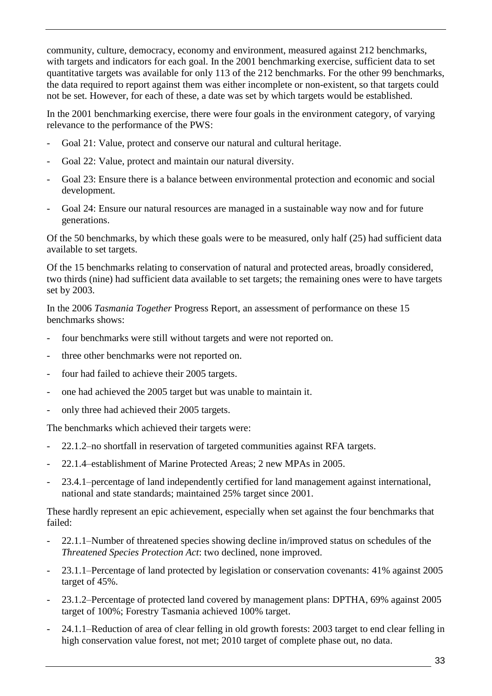community, culture, democracy, economy and environment, measured against 212 benchmarks, with targets and indicators for each goal. In the 2001 benchmarking exercise, sufficient data to set quantitative targets was available for only 113 of the 212 benchmarks. For the other 99 benchmarks, the data required to report against them was either incomplete or non-existent, so that targets could not be set. However, for each of these, a date was set by which targets would be established.

In the 2001 benchmarking exercise, there were four goals in the environment category, of varying relevance to the performance of the PWS:

- Goal 21: Value, protect and conserve our natural and cultural heritage.
- Goal 22: Value, protect and maintain our natural diversity.
- Goal 23: Ensure there is a balance between environmental protection and economic and social development.
- Goal 24: Ensure our natural resources are managed in a sustainable way now and for future generations.

Of the 50 benchmarks, by which these goals were to be measured, only half (25) had sufficient data available to set targets.

Of the 15 benchmarks relating to conservation of natural and protected areas, broadly considered, two thirds (nine) had sufficient data available to set targets; the remaining ones were to have targets set by 2003.

In the 2006 *Tasmania Together* Progress Report, an assessment of performance on these 15 benchmarks shows:

- four benchmarks were still without targets and were not reported on.
- three other benchmarks were not reported on.
- four had failed to achieve their 2005 targets.
- one had achieved the 2005 target but was unable to maintain it.
- only three had achieved their 2005 targets.

The benchmarks which achieved their targets were:

- 22.1.2–no shortfall in reservation of targeted communities against RFA targets.
- 22.1.4–establishment of Marine Protected Areas; 2 new MPAs in 2005.
- 23.4.1–percentage of land independently certified for land management against international, national and state standards; maintained 25% target since 2001.

These hardly represent an epic achievement, especially when set against the four benchmarks that failed:

- 22.1.1–Number of threatened species showing decline in/improved status on schedules of the *Threatened Species Protection Act*: two declined, none improved.
- 23.1.1–Percentage of land protected by legislation or conservation covenants: 41% against 2005 target of 45%.
- 23.1.2–Percentage of protected land covered by management plans: DPTHA, 69% against 2005 target of 100%; Forestry Tasmania achieved 100% target.
- 24.1.1–Reduction of area of clear felling in old growth forests: 2003 target to end clear felling in high conservation value forest, not met; 2010 target of complete phase out, no data.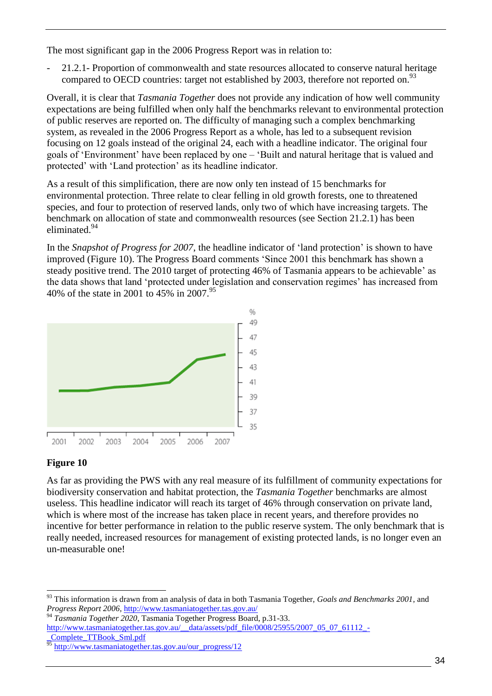The most significant gap in the 2006 Progress Report was in relation to:

- 21.2.1- Proportion of commonwealth and state resources allocated to conserve natural heritage compared to OECD countries: target not established by 2003, therefore not reported on.<sup>93</sup>

Overall, it is clear that *Tasmania Together* does not provide any indication of how well community expectations are being fulfilled when only half the benchmarks relevant to environmental protection of public reserves are reported on. The difficulty of managing such a complex benchmarking system, as revealed in the 2006 Progress Report as a whole, has led to a subsequent revision focusing on 12 goals instead of the original 24, each with a headline indicator. The original four goals of ‗Environment' have been replaced by one – ‗Built and natural heritage that is valued and protected' with 'Land protection' as its headline indicator.

As a result of this simplification, there are now only ten instead of 15 benchmarks for environmental protection. Three relate to clear felling in old growth forests, one to threatened species, and four to protection of reserved lands, only two of which have increasing targets. The benchmark on allocation of state and commonwealth resources (see Section 21.2.1) has been eliminated.<sup>94</sup>

In the *Snapshot of Progress for 2007*, the headline indicator of 'land protection' is shown to have improved (Figure 10). The Progress Board comments 'Since 2001 this benchmark has shown a steady positive trend. The 2010 target of protecting 46% of Tasmania appears to be achievable' as the data shows that land 'protected under legislation and conservation regimes' has increased from 40% of the state in 2001 to 45% in 2007.<sup>95</sup>



#### **Figure 10**

-

As far as providing the PWS with any real measure of its fulfillment of community expectations for biodiversity conservation and habitat protection, the *Tasmania Together* benchmarks are almost useless. This headline indicator will reach its target of 46% through conservation on private land, which is where most of the increase has taken place in recent years, and therefore provides no incentive for better performance in relation to the public reserve system. The only benchmark that is really needed, increased resources for management of existing protected lands, is no longer even an un-measurable one!

<sup>94</sup> *Tasmania Together 2020*, Tasmania Together Progress Board, p.31-33. [http://www.tasmaniatogether.tas.gov.au/\\_\\_data/assets/pdf\\_file/0008/25955/2007\\_05\\_07\\_61112\\_-](http://www.tasmaniatogether.tas.gov.au/__data/assets/pdf_file/0008/25955/2007_05_07_61112_-_Complete_TTBook_Sml.pdf) [\\_Complete\\_TTBook\\_Sml.pdf](http://www.tasmaniatogether.tas.gov.au/__data/assets/pdf_file/0008/25955/2007_05_07_61112_-_Complete_TTBook_Sml.pdf)

<sup>93</sup> This information is drawn from an analysis of data in both Tasmania Together, *Goals and Benchmarks 2001*, and *Progress Report 2006,* <http://www.tasmaniatogether.tas.gov.au/>

[http://www.tasmaniatogether.tas.gov.au/our\\_progress/12](http://www.tasmaniatogether.tas.gov.au/our_progress/12)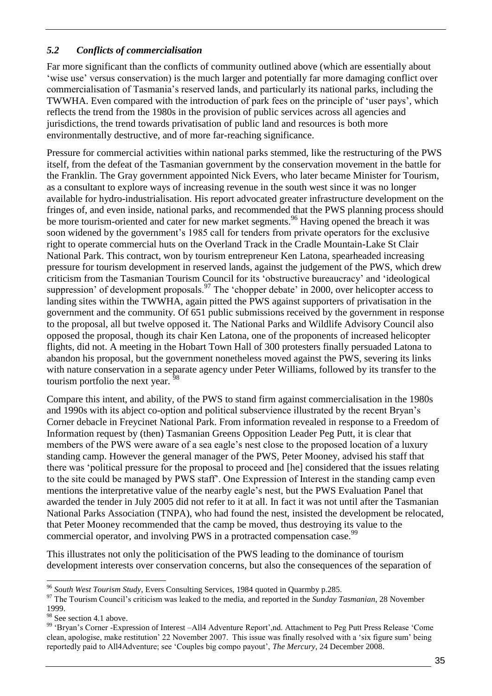#### <span id="page-39-0"></span>*5.2 Conflicts of commercialisation*

Far more significant than the conflicts of community outlined above (which are essentially about ‗wise use' versus conservation) is the much larger and potentially far more damaging conflict over commercialisation of Tasmania's reserved lands, and particularly its national parks, including the TWWHA. Even compared with the introduction of park fees on the principle of ‗user pays', which reflects the trend from the 1980s in the provision of public services across all agencies and jurisdictions, the trend towards privatisation of public land and resources is both more environmentally destructive, and of more far-reaching significance.

Pressure for commercial activities within national parks stemmed, like the restructuring of the PWS itself, from the defeat of the Tasmanian government by the conservation movement in the battle for the Franklin. The Gray government appointed Nick Evers, who later became Minister for Tourism, as a consultant to explore ways of increasing revenue in the south west since it was no longer available for hydro-industrialisation. His report advocated greater infrastructure development on the fringes of, and even inside, national parks, and recommended that the PWS planning process should be more tourism-oriented and cater for new market segments.<sup>96</sup> Having opened the breach it was soon widened by the government's 1985 call for tenders from private operators for the exclusive right to operate commercial huts on the Overland Track in the Cradle Mountain-Lake St Clair National Park. This contract, won by tourism entrepreneur Ken Latona, spearheaded increasing pressure for tourism development in reserved lands, against the judgement of the PWS, which drew criticism from the Tasmanian Tourism Council for its 'obstructive bureaucracy' and 'ideological suppression' of development proposals.<sup>97</sup> The 'chopper debate' in 2000, over helicopter access to landing sites within the TWWHA, again pitted the PWS against supporters of privatisation in the government and the community. Of 651 public submissions received by the government in response to the proposal, all but twelve opposed it. The National Parks and Wildlife Advisory Council also opposed the proposal, though its chair Ken Latona, one of the proponents of increased helicopter flights, did not. A meeting in the Hobart Town Hall of 300 protesters finally persuaded Latona to abandon his proposal, but the government nonetheless moved against the PWS, severing its links with nature conservation in a separate agency under Peter Williams, followed by its transfer to the tourism portfolio the next year. <sup>98</sup>

Compare this intent, and ability, of the PWS to stand firm against commercialisation in the 1980s and 1990s with its abject co-option and political subservience illustrated by the recent Bryan's Corner debacle in Freycinet National Park. From information revealed in response to a Freedom of Information request by (then) Tasmanian Greens Opposition Leader Peg Putt, it is clear that members of the PWS were aware of a sea eagle's nest close to the proposed location of a luxury standing camp. However the general manager of the PWS, Peter Mooney, advised his staff that there was ‗political pressure for the proposal to proceed and [he] considered that the issues relating to the site could be managed by PWS staff'. One Expression of Interest in the standing camp even mentions the interpretative value of the nearby eagle's nest, but the PWS Evaluation Panel that awarded the tender in July 2005 did not refer to it at all. In fact it was not until after the Tasmanian National Parks Association (TNPA), who had found the nest, insisted the development be relocated, that Peter Mooney recommended that the camp be moved, thus destroying its value to the commercial operator, and involving PWS in a protracted compensation case.<sup>99</sup>

This illustrates not only the politicisation of the PWS leading to the dominance of tourism development interests over conservation concerns, but also the consequences of the separation of

<sup>96</sup> *South West Tourism Study*, Evers Consulting Services, 1984 quoted in Quarmby p.285.

<sup>&</sup>lt;sup>97</sup> The Tourism Council's criticism was leaked to the media, and reported in the *Sunday Tasmanian*, 28 November 1999.

 $98$  See section 4.1 above.

<sup>99 &#</sup>x27;Bryan's Corner -Expression of Interest -All4 Adventure Report',nd. Attachment to Peg Putt Press Release 'Come clean, apologise, make restitution' 22 November 2007. This issue was finally resolved with a 'six figure sum' being reportedly paid to All4Adventure; see ‗Couples big compo payout', *The Mercury*, 24 December 2008.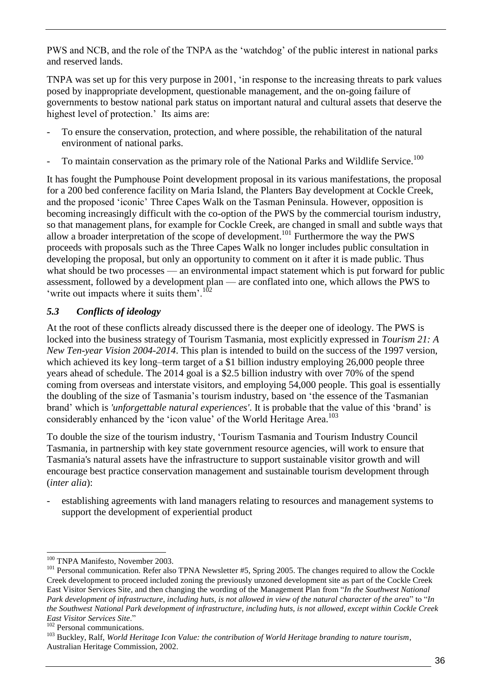PWS and NCB, and the role of the TNPA as the 'watchdog' of the public interest in national parks and reserved lands.

TNPA was set up for this very purpose in 2001, 'in response to the increasing threats to park values posed by inappropriate development, questionable management, and the on-going failure of governments to bestow national park status on important natural and cultural assets that deserve the highest level of protection.' Its aims are:

- To ensure the conservation, protection, and where possible, the rehabilitation of the natural environment of national parks.
- To maintain conservation as the primary role of the National Parks and Wildlife Service.<sup>100</sup>

It has fought the Pumphouse Point development proposal in its various manifestations, the proposal for a 200 bed conference facility on Maria Island, the Planters Bay development at Cockle Creek, and the proposed ‗iconic' Three Capes Walk on the Tasman Peninsula. However, opposition is becoming increasingly difficult with the co-option of the PWS by the commercial tourism industry, so that management plans, for example for Cockle Creek, are changed in small and subtle ways that allow a broader interpretation of the scope of development.<sup>101</sup> Furthermore the way the PWS proceeds with proposals such as the Three Capes Walk no longer includes public consultation in developing the proposal, but only an opportunity to comment on it after it is made public. Thus what should be two processes — an environmental impact statement which is put forward for public assessment, followed by a development plan — are conflated into one, which allows the PWS to 'write out impacts where it suits them'.<sup>102</sup>

#### <span id="page-40-0"></span>*5.3 Conflicts of ideology*

At the root of these conflicts already discussed there is the deeper one of ideology. The PWS is locked into the business strategy of Tourism Tasmania, most explicitly expressed in *Tourism 21: A New Ten-year Vision 2004-2014*. This plan is intended to build on the success of the 1997 version, which achieved its key long–term target of a \$1 billion industry employing 26,000 people three years ahead of schedule. The 2014 goal is a \$2.5 billion industry with over 70% of the spend coming from overseas and interstate visitors, and employing 54,000 people. This goal is essentially the doubling of the size of Tasmania's tourism industry, based on 'the essence of the Tasmanian brand' which is *'unforgettable natural experiences'*. It is probable that the value of this ‗brand' is considerably enhanced by the 'icon value' of the World Heritage Area.<sup>103</sup>

To double the size of the tourism industry, ‗Tourism Tasmania and Tourism Industry Council Tasmania, in partnership with key state government resource agencies, will work to ensure that Tasmania's natural assets have the infrastructure to support sustainable visitor growth and will encourage best practice conservation management and sustainable tourism development through (*inter alia*):

establishing agreements with land managers relating to resources and management systems to support the development of experiential product

<sup>-</sup><sup>100</sup> TNPA Manifesto, November 2003.

<sup>&</sup>lt;sup>101</sup> Personal communication. Refer also TPNA Newsletter #5, Spring 2005. The changes required to allow the Cockle Creek development to proceed included zoning the previously unzoned development site as part of the Cockle Creek East Visitor Services Site, and then changing the wording of the Management Plan from "*In the Southwest National Park development of infrastructure, including huts, is not allowed in view of the natural character of the area*" to "*In the Southwest National Park development of infrastructure, including huts, is not allowed, except within Cockle Creek East Visitor Services Site*.‖

<sup>&</sup>lt;sup>102</sup> Personal communications.

<sup>103</sup> Buckley, Ralf, *World Heritage Icon Value: the contribution of World Heritage branding to nature tourism*, Australian Heritage Commission, 2002.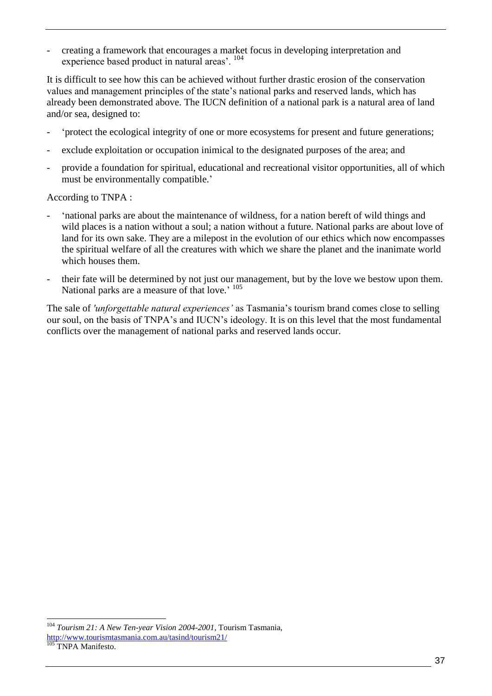- creating a framework that encourages a market focus in developing interpretation and experience based product in natural areas'. <sup>104</sup>

It is difficult to see how this can be achieved without further drastic erosion of the conservation values and management principles of the state's national parks and reserved lands, which has already been demonstrated above. The IUCN definition of a national park is a natural area of land and/or sea, designed to:

- ‗protect the ecological integrity of one or more ecosystems for present and future generations;
- exclude exploitation or occupation inimical to the designated purposes of the area; and
- provide a foundation for spiritual, educational and recreational visitor opportunities, all of which must be environmentally compatible.'

According to TNPA :

- ‗national parks are about the maintenance of wildness, for a nation bereft of wild things and wild places is a nation without a soul; a nation without a future. National parks are about love of land for its own sake. They are a milepost in the evolution of our ethics which now encompasses the spiritual welfare of all the creatures with which we share the planet and the inanimate world which houses them.
- their fate will be determined by not just our management, but by the love we bestow upon them. National parks are a measure of that love.' <sup>105</sup>

The sale of *'unforgettable natural experiences'* as Tasmania's tourism brand comes close to selling our soul, on the basis of TNPA's and IUCN's ideology. It is on this level that the most fundamental conflicts over the management of national parks and reserved lands occur.

<sup>104</sup> *Tourism 21: A New Ten-year Vision 2004-2001,* Tourism Tasmania,

<http://www.tourismtasmania.com.au/tasind/tourism21/>

<sup>&</sup>lt;sup>105</sup> TNPA Manifesto.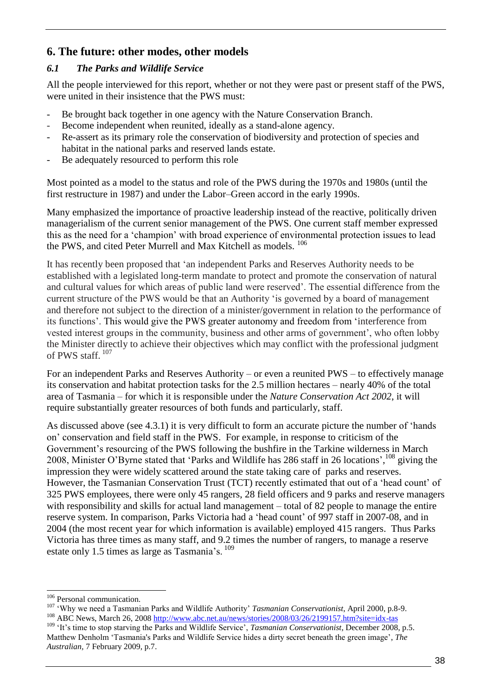## <span id="page-42-0"></span>**6. The future: other modes, other models**

#### <span id="page-42-1"></span>*6.1 The Parks and Wildlife Service*

All the people interviewed for this report, whether or not they were past or present staff of the PWS, were united in their insistence that the PWS must:

- Be brought back together in one agency with the Nature Conservation Branch.
- Become independent when reunited, ideally as a stand-alone agency.
- Re-assert as its primary role the conservation of biodiversity and protection of species and habitat in the national parks and reserved lands estate.
- Be adequately resourced to perform this role

Most pointed as a model to the status and role of the PWS during the 1970s and 1980s (until the first restructure in 1987) and under the Labor–Green accord in the early 1990s.

Many emphasized the importance of proactive leadership instead of the reactive, politically driven managerialism of the current senior management of the PWS. One current staff member expressed this as the need for a 'champion' with broad experience of environmental protection issues to lead the PWS, and cited Peter Murrell and Max Kitchell as models. <sup>106</sup>

It has recently been proposed that 'an independent Parks and Reserves Authority needs to be established with a legislated long-term mandate to protect and promote the conservation of natural and cultural values for which areas of public land were reserved'. The essential difference from the current structure of the PWS would be that an Authority 'is governed by a board of management and therefore not subject to the direction of a minister/government in relation to the performance of its functions'. This would give the PWS greater autonomy and freedom from 'interference from vested interest groups in the community, business and other arms of government', who often lobby the Minister directly to achieve their objectives which may conflict with the professional judgment of PWS staff. 107

For an independent Parks and Reserves Authority – or even a reunited PWS – to effectively manage its conservation and habitat protection tasks for the 2.5 million hectares – nearly 40% of the total area of Tasmania – for which it is responsible under the *Nature Conservation Act 2002*, it will require substantially greater resources of both funds and particularly, staff.

As discussed above (see 4.3.1) it is very difficult to form an accurate picture the number of 'hands on' conservation and field staff in the PWS. For example, in response to criticism of the Government's resourcing of the PWS following the bushfire in the Tarkine wilderness in March 2008, Minister O'Byrne stated that 'Parks and Wildlife has 286 staff in 26 locations', <sup>108</sup> giving the impression they were widely scattered around the state taking care of parks and reserves. However, the Tasmanian Conservation Trust (TCT) recently estimated that out of a 'head count' of 325 PWS employees, there were only 45 rangers, 28 field officers and 9 parks and reserve managers with responsibility and skills for actual land management – total of 82 people to manage the entire reserve system. In comparison, Parks Victoria had a 'head count' of 997 staff in 2007-08, and in 2004 (the most recent year for which information is available) employed 415 rangers. Thus Parks Victoria has three times as many staff, and 9.2 times the number of rangers, to manage a reserve estate only 1.5 times as large as Tasmania's. <sup>109</sup>

<sup>&</sup>lt;sup>106</sup> Personal communication.

<sup>107</sup> ‗Why we need a Tasmanian Parks and Wildlife Authority' *Tasmanian Conservationist*, April 2000, p.8-9. <sup>108</sup> ABC News, March 26, 2008 <http://www.abc.net.au/news/stories/2008/03/26/2199157.htm?site=idx-tas>

<sup>&</sup>lt;sup>109</sup> 'It's time to stop starving the Parks and Wildlife Service', *Tasmanian Conservationist*, December 2008, p.5. Matthew Denholm ‗Tasmania's Parks and Wildlife Service hides a dirty secret beneath the green image', *The Australian,* 7 February 2009, p.7.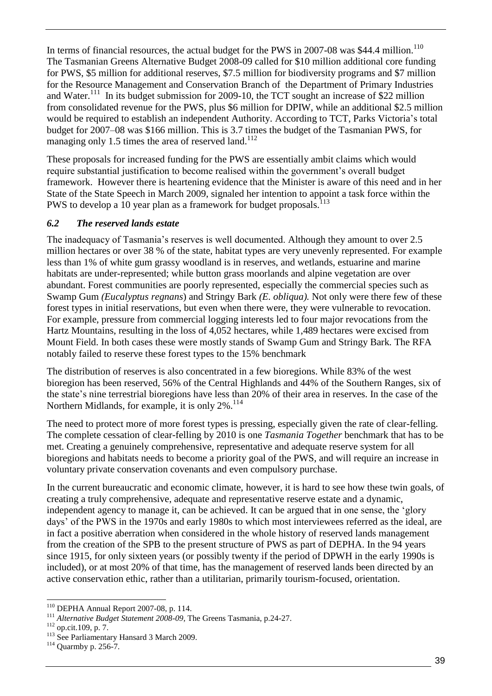In terms of financial resources, the actual budget for the PWS in 2007-08 was \$44.4 million.<sup>110</sup> The Tasmanian Greens Alternative Budget 2008-09 called for \$10 million additional core funding for PWS, \$5 million for additional reserves, \$7.5 million for biodiversity programs and \$7 million for the Resource Management and Conservation Branch of the Department of Primary Industries and Water.<sup>111</sup> In its budget submission for 2009-10, the TCT sought an increase of \$22 million from consolidated revenue for the PWS, plus \$6 million for DPIW, while an additional \$2.5 million would be required to establish an independent Authority. According to TCT, Parks Victoria's total budget for 2007–08 was \$166 million. This is 3.7 times the budget of the Tasmanian PWS, for managing only 1.5 times the area of reserved land.<sup>112</sup>

These proposals for increased funding for the PWS are essentially ambit claims which would require substantial justification to become realised within the government's overall budget framework. However there is heartening evidence that the Minister is aware of this need and in her State of the State Speech in March 2009, signaled her intention to appoint a task force within the PWS to develop a 10 year plan as a framework for budget proposals.<sup>113</sup>

#### <span id="page-43-0"></span>*6.2 The reserved lands estate*

The inadequacy of Tasmania's reserves is well documented. Although they amount to over 2.5 million hectares or over 38 % of the state, habitat types are very unevenly represented. For example less than 1% of white gum grassy woodland is in reserves, and wetlands, estuarine and marine habitats are under-represented; while button grass moorlands and alpine vegetation are over abundant. Forest communities are poorly represented, especially the commercial species such as Swamp Gum *(Eucalyptus regnans*) and Stringy Bark *(E. obliqua).* Not only were there few of these forest types in initial reservations, but even when there were, they were vulnerable to revocation. For example, pressure from commercial logging interests led to four major revocations from the Hartz Mountains, resulting in the loss of 4,052 hectares, while 1,489 hectares were excised from Mount Field. In both cases these were mostly stands of Swamp Gum and Stringy Bark*.* The RFA notably failed to reserve these forest types to the 15% benchmark

The distribution of reserves is also concentrated in a few bioregions. While 83% of the west bioregion has been reserved, 56% of the Central Highlands and 44% of the Southern Ranges, six of the state's nine terrestrial bioregions have less than 20% of their area in reserves. In the case of the Northern Midlands, for example, it is only 2%.<sup>114</sup>

The need to protect more of more forest types is pressing, especially given the rate of clear-felling. The complete cessation of clear-felling by 2010 is one *Tasmania Together* benchmark that has to be met. Creating a genuinely comprehensive, representative and adequate reserve system for all bioregions and habitats needs to become a priority goal of the PWS, and will require an increase in voluntary private conservation covenants and even compulsory purchase.

In the current bureaucratic and economic climate, however, it is hard to see how these twin goals, of creating a truly comprehensive, adequate and representative reserve estate and a dynamic, independent agency to manage it, can be achieved. It can be argued that in one sense, the 'glory days' of the PWS in the 1970s and early 1980s to which most interviewees referred as the ideal, are in fact a positive aberration when considered in the whole history of reserved lands management from the creation of the SPB to the present structure of PWS as part of DEPHA. In the 94 years since 1915, for only sixteen years (or possibly twenty if the period of DPWH in the early 1990s is included), or at most 20% of that time, has the management of reserved lands been directed by an active conservation ethic, rather than a utilitarian, primarily tourism-focused, orientation.

<sup>-</sup><sup>110</sup> DEPHA Annual Report 2007-08, p. 114.

<sup>111</sup> *Alternative Budget Statement 2008-09,* The Greens Tasmania, p.24-27.

<sup>112</sup> op.cit.109, p. 7.

<sup>&</sup>lt;sup>113</sup> See Parliamentary Hansard 3 March 2009.

<sup>114</sup> Quarmby p. 256-7.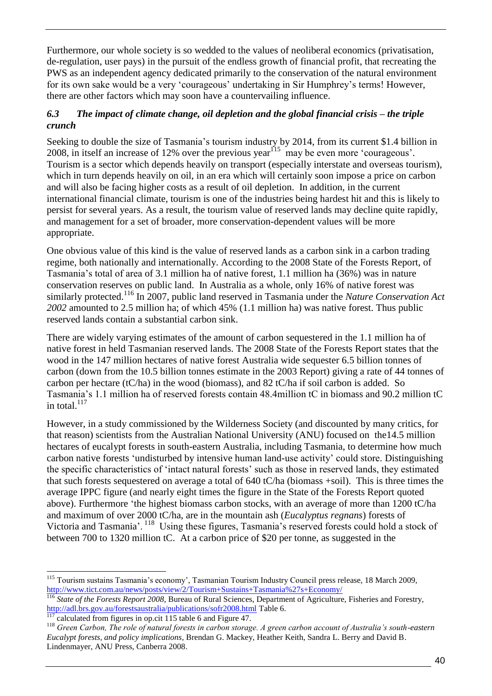Furthermore, our whole society is so wedded to the values of neoliberal economics (privatisation, de-regulation, user pays) in the pursuit of the endless growth of financial profit, that recreating the PWS as an independent agency dedicated primarily to the conservation of the natural environment for its own sake would be a very 'courageous' undertaking in Sir Humphrey's terms! However, there are other factors which may soon have a countervailing influence.

#### <span id="page-44-0"></span>*6.3 The impact of climate change, oil depletion and the global financial crisis – the triple crunch*

Seeking to double the size of Tasmania's tourism industry by 2014, from its current \$1.4 billion in 2008, in itself an increase of 12% over the previous year<sup>115</sup> may be even more 'courageous'. Tourism is a sector which depends heavily on transport (especially interstate and overseas tourism), which in turn depends heavily on oil, in an era which will certainly soon impose a price on carbon and will also be facing higher costs as a result of oil depletion. In addition, in the current international financial climate, tourism is one of the industries being hardest hit and this is likely to persist for several years. As a result, the tourism value of reserved lands may decline quite rapidly, and management for a set of broader, more conservation-dependent values will be more appropriate.

One obvious value of this kind is the value of reserved lands as a carbon sink in a carbon trading regime, both nationally and internationally. According to the 2008 State of the Forests Report, of Tasmania's total of area of 3.1 million ha of native forest, 1.1 million ha (36%) was in nature conservation reserves on public land. In Australia as a whole, only 16% of native forest was similarly protected.<sup>116</sup> In 2007, public land reserved in Tasmania under the *Nature Conservation Act 2002* amounted to 2.5 million ha; of which 45% (1.1 million ha) was native forest. Thus public reserved lands contain a substantial carbon sink.

There are widely varying estimates of the amount of carbon sequestered in the 1.1 million ha of native forest in held Tasmanian reserved lands. The 2008 State of the Forests Report states that the wood in the 147 million hectares of native forest Australia wide sequester 6.5 billion tonnes of carbon (down from the 10.5 billion tonnes estimate in the 2003 Report) giving a rate of 44 tonnes of carbon per hectare (tC/ha) in the wood (biomass), and 82 tC/ha if soil carbon is added. So Tasmania's 1.1 million ha of reserved forests contain 48.4million tC in biomass and 90.2 million tC in total. 117

However, in a study commissioned by the Wilderness Society (and discounted by many critics, for that reason) scientists from the Australian National University (ANU) focused on the14.5 million hectares of eucalypt forests in south-eastern Australia, including Tasmania, to determine how much carbon native forests ‗undisturbed by intensive human land-use activity' could store. Distinguishing the specific characteristics of ‗intact natural forests' such as those in reserved lands, they estimated that such forests sequestered on average a total of 640 tC/ha (biomass +soil). This is three times the average IPPC figure (and nearly eight times the figure in the State of the Forests Report quoted above). Furthermore 'the highest biomass carbon stocks, with an average of more than 1200 tC/ha and maximum of over 2000 tC/ha, are in the mountain ash (*Eucalyptus regnans*) forests of Victoria and Tasmania'. <sup>118</sup> Using these figures, Tasmania's reserved forests could hold a stock of between 700 to 1320 million tC. At a carbon price of \$20 per tonne, as suggested in the

 $117$  calculated from figures in op.cit 115 table 6 and Figure 47.

<sup>-</sup><sup>115</sup> Tourism sustains Tasmania's economy', Tasmanian Tourism Industry Council press release, 18 March 2009, <http://www.tict.com.au/news/posts/view/2/Tourism+Sustains+Tasmania%27s+Economy/>

<sup>&</sup>lt;sup>116</sup> *State of the Forests Report 2008*, Bureau of Rural Sciences, Department of Agriculture, Fisheries and Forestry, <http://adl.brs.gov.au/forestsaustralia/publications/sofr2008.html> Table 6.

<sup>118</sup> *Green Carbon, The role of natural forests in carbon storage. A green carbon account of Australia's south-eastern Eucalypt forests, and policy implications*, Brendan G. Mackey, Heather Keith, Sandra L. Berry and David B. Lindenmayer, ANU Press, Canberra 2008.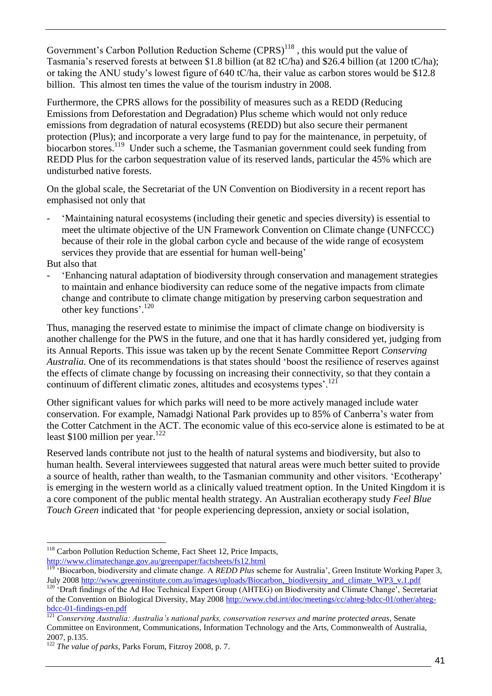Government's Carbon Pollution Reduction Scheme  $(CPRS)^{118}$ , this would put the value of Tasmania's reserved forests at between \$1.8 billion (at 82 tC/ha) and \$26.4 billion (at 1200 tC/ha); or taking the ANU study's lowest figure of 640 tC/ha, their value as carbon stores would be \$12.8 billion. This almost ten times the value of the tourism industry in 2008.

Furthermore, the CPRS allows for the possibility of measures such as a REDD (Reducing Emissions from Deforestation and Degradation) Plus scheme which would not only reduce emissions from degradation of natural ecosystems (REDD) but also secure their permanent protection (Plus); and incorporate a very large fund to pay for the maintenance, in perpetuity, of biocarbon stores.<sup>119</sup> Under such a scheme, the Tasmanian government could seek funding from REDD Plus for the carbon sequestration value of its reserved lands, particular the 45% which are undisturbed native forests.

On the global scale, the Secretariat of the UN Convention on Biodiversity in a recent report has emphasised not only that

- ‗Maintaining natural ecosystems (including their genetic and species diversity) is essential to meet the ultimate objective of the UN Framework Convention on Climate change (UNFCCC) because of their role in the global carbon cycle and because of the wide range of ecosystem services they provide that are essential for human well-being'

But also that

- ‗Enhancing natural adaptation of biodiversity through conservation and management strategies to maintain and enhance biodiversity can reduce some of the negative impacts from climate change and contribute to climate change mitigation by preserving carbon sequestration and other key functions'. 120

Thus, managing the reserved estate to minimise the impact of climate change on biodiversity is another challenge for the PWS in the future, and one that it has hardly considered yet, judging from its Annual Reports. This issue was taken up by the recent Senate Committee Report *Conserving Australia.* One of its recommendations is that states should 'boost the resilience of reserves against the effects of climate change by focussing on increasing their connectivity, so that they contain a continuum of different climatic zones, altitudes and ecosystems types'.<sup>121</sup>

Other significant values for which parks will need to be more actively managed include water conservation. For example, Namadgi National Park provides up to 85% of Canberra's water from the Cotter Catchment in the ACT. The economic value of this eco-service alone is estimated to be at least  $$100$  million per year.<sup>122</sup>

Reserved lands contribute not just to the health of natural systems and biodiversity, but also to human health. Several interviewees suggested that natural areas were much better suited to provide a source of health, rather than wealth, to the Tasmanian community and other visitors. ‗Ecotherapy' is emerging in the western world as a clinically valued treatment option. In the United Kingdom it is a core component of the public mental health strategy. An Australian ecotherapy study *Feel Blue Touch Green* indicated that 'for people experiencing depression, anxiety or social isolation,

<sup>-</sup><sup>118</sup> Carbon Pollution Reduction Scheme, Fact Sheet 12, Price Impacts, <http://www.climatechange.gov.au/greenpaper/factsheets/fs12.html>

<sup>119</sup> ‗Biocarbon, biodiversity and climate change. A *REDD Plus* scheme for Australia', Green Institute Working Paper 3, July 2008 [http://www.greeninstitute.com.au/images/uploads/Biocarbon,\\_biodiversity\\_and\\_climate\\_WP3\\_v.1.pdf](http://www.greeninstitute.com.au/images/uploads/Biocarbon,_biodiversity_and_climate_WP3_v.1.pdf)

<sup>&</sup>lt;sup>120</sup> 'Draft findings of the Ad Hoc Technical Expert Group (AHTEG) on Biodiversity and Climate Change', Secretariat of the Convention on Biological Diversity, May 2008 [http://www.cbd.int/doc/meetings/cc/ahteg-bdcc-01/other/ahteg](http://www.cbd.int/doc/meetings/cc/ahteg-bdcc-01/other/ahteg-bdcc-01-findings-en.pdf)[bdcc-01-findings-en.pdf](http://www.cbd.int/doc/meetings/cc/ahteg-bdcc-01/other/ahteg-bdcc-01-findings-en.pdf)

<sup>121</sup> *Conserving Australia: Australia's national parks, conservation reserves and marine protected areas*, Senate Committee on Environment, Communications, Information Technology and the Arts, Commonwealth of Australia, 2007, p.135.

<sup>122</sup> *The value of parks*, Parks Forum, Fitzroy 2008, p. 7.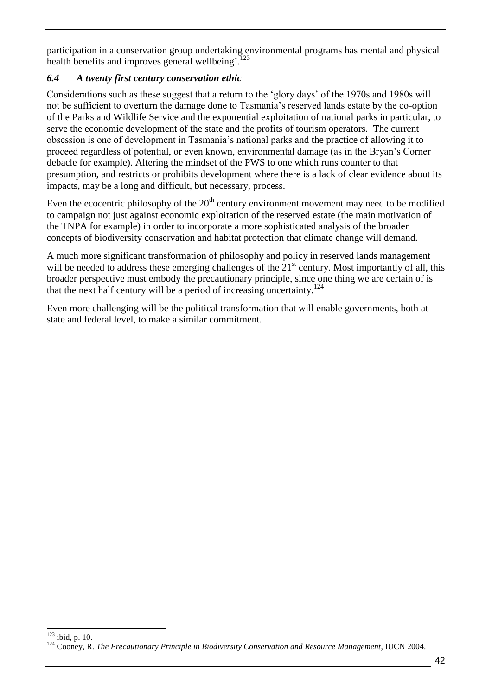participation in a conservation group undertaking environmental programs has mental and physical health benefits and improves general wellbeing'.<sup>123</sup>

#### <span id="page-46-0"></span>*6.4 A twenty first century conservation ethic*

Considerations such as these suggest that a return to the ‗glory days' of the 1970s and 1980s will not be sufficient to overturn the damage done to Tasmania's reserved lands estate by the co-option of the Parks and Wildlife Service and the exponential exploitation of national parks in particular, to serve the economic development of the state and the profits of tourism operators. The current obsession is one of development in Tasmania's national parks and the practice of allowing it to proceed regardless of potential, or even known, environmental damage (as in the Bryan's Corner debacle for example). Altering the mindset of the PWS to one which runs counter to that presumption, and restricts or prohibits development where there is a lack of clear evidence about its impacts, may be a long and difficult, but necessary, process.

Even the ecocentric philosophy of the  $20<sup>th</sup>$  century environment movement may need to be modified to campaign not just against economic exploitation of the reserved estate (the main motivation of the TNPA for example) in order to incorporate a more sophisticated analysis of the broader concepts of biodiversity conservation and habitat protection that climate change will demand.

A much more significant transformation of philosophy and policy in reserved lands management will be needed to address these emerging challenges of the  $21<sup>st</sup>$  century. Most importantly of all, this broader perspective must embody the precautionary principle, since one thing we are certain of is that the next half century will be a period of increasing uncertainty.<sup>124</sup>

Even more challenging will be the political transformation that will enable governments, both at state and federal level, to make a similar commitment.

<sup>-</sup> $123$  ibid, p. 10.

<sup>&</sup>lt;sup>124</sup> Cooney, R. *The Precautionary Principle in Biodiversity Conservation and Resource Management*, IUCN 2004.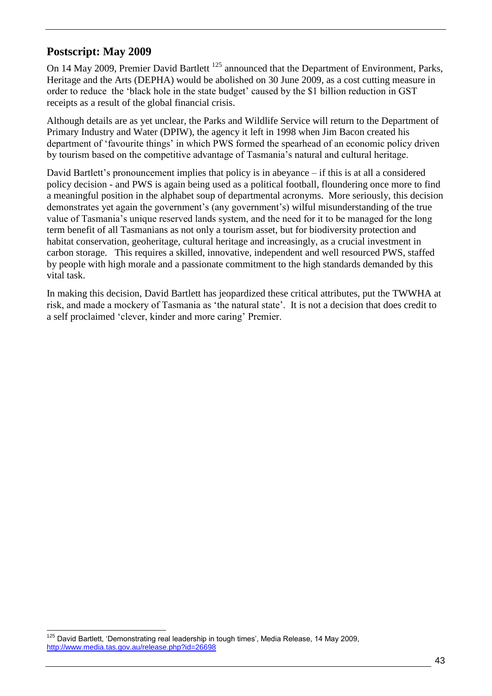#### <span id="page-47-0"></span>**Postscript: May 2009**

On 14 May 2009, Premier David Bartlett<sup>125</sup> announced that the Department of Environment, Parks, Heritage and the Arts (DEPHA) would be abolished on 30 June 2009, as a cost cutting measure in order to reduce the 'black hole in the state budget' caused by the \$1 billion reduction in GST receipts as a result of the global financial crisis.

Although details are as yet unclear, the Parks and Wildlife Service will return to the Department of Primary Industry and Water (DPIW), the agency it left in 1998 when Jim Bacon created his department of 'favourite things' in which PWS formed the spearhead of an economic policy driven by tourism based on the competitive advantage of Tasmania's natural and cultural heritage.

David Bartlett's pronouncement implies that policy is in abeyance – if this is at all a considered policy decision - and PWS is again being used as a political football, floundering once more to find a meaningful position in the alphabet soup of departmental acronyms. More seriously, this decision demonstrates yet again the government's (any government's) wilful misunderstanding of the true value of Tasmania's unique reserved lands system, and the need for it to be managed for the long term benefit of all Tasmanians as not only a tourism asset, but for biodiversity protection and habitat conservation, geoheritage, cultural heritage and increasingly, as a crucial investment in carbon storage. This requires a skilled, innovative, independent and well resourced PWS, staffed by people with high morale and a passionate commitment to the high standards demanded by this vital task.

In making this decision, David Bartlett has jeopardized these critical attributes, put the TWWHA at risk, and made a mockery of Tasmania as 'the natural state'. It is not a decision that does credit to a self proclaimed ‗clever, kinder and more caring' Premier.

 $\overline{a}$  $125$  David Bartlett, 'Demonstrating real leadership in tough times', Media Release, 14 May 2009, <http://www.media.tas.gov.au/release.php?id=26698>